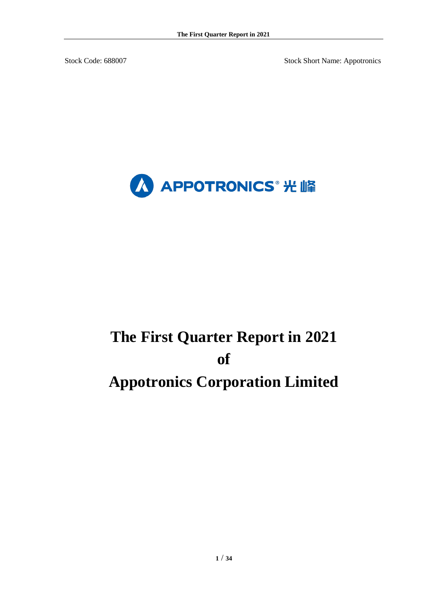Stock Code: 688007 Stock Short Name: Appotronics



# **The First Quarter Report in 2021 of Appotronics Corporation Limited**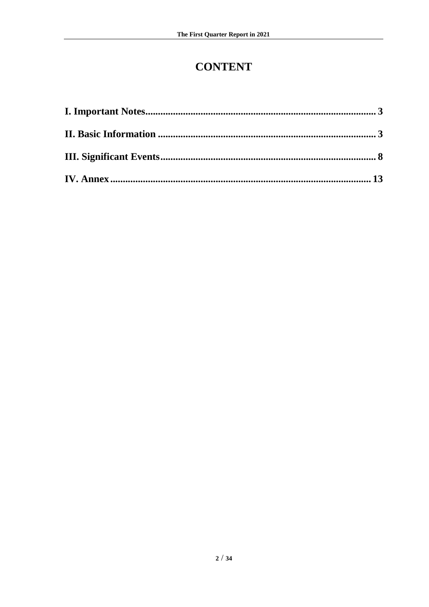## **CONTENT**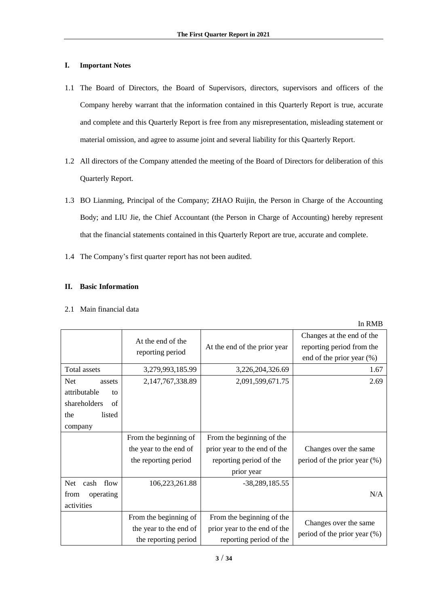#### <span id="page-2-0"></span>**I. Important Notes**

- 1.1 The Board of Directors, the Board of Supervisors, directors, supervisors and officers of the Company hereby warrant that the information contained in this Quarterly Report is true, accurate and complete and this Quarterly Report is free from any misrepresentation, misleading statement or material omission, and agree to assume joint and several liability for this Quarterly Report.
- 1.2 All directors of the Company attended the meeting of the Board of Directors for deliberation of this Quarterly Report.
- 1.3 BO Lianming, Principal of the Company; ZHAO Ruijin, the Person in Charge of the Accounting Body; and LIU Jie, the Chief Accountant (the Person in Charge of Accounting) hereby represent that the financial statements contained in this Quarterly Report are true, accurate and complete.
- 1.4 The Company's first quarter report has not been audited.

### <span id="page-2-1"></span>**II. Basic Information**

|  | 2.1 Main financial data |  |
|--|-------------------------|--|
|  |                         |  |

|                    | At the end of the<br>reporting period | At the end of the prior year | Changes at the end of the<br>reporting period from the<br>end of the prior year $(\%)$ |
|--------------------|---------------------------------------|------------------------------|----------------------------------------------------------------------------------------|
| Total assets       | 3,279,993,185.99                      | 3,226,204,326.69             | 1.67                                                                                   |
| Net<br>assets      | 2,147,767,338.89                      | 2,091,599,671.75             | 2.69                                                                                   |
| attributable<br>to |                                       |                              |                                                                                        |
| shareholders<br>of |                                       |                              |                                                                                        |
| the<br>listed      |                                       |                              |                                                                                        |
| company            |                                       |                              |                                                                                        |
|                    | From the beginning of                 | From the beginning of the    |                                                                                        |
|                    | the year to the end of                | prior year to the end of the | Changes over the same                                                                  |
|                    | the reporting period                  | reporting period of the      | period of the prior year (%)                                                           |
|                    |                                       | prior year                   |                                                                                        |
| Net<br>cash flow   | 106,223,261.88                        | $-38,289,185.55$             |                                                                                        |
| from<br>operating  |                                       |                              | N/A                                                                                    |
| activities         |                                       |                              |                                                                                        |
|                    | From the beginning of                 | From the beginning of the    |                                                                                        |
|                    | the year to the end of                | prior year to the end of the | Changes over the same                                                                  |
|                    | the reporting period                  | reporting period of the      | period of the prior year (%)                                                           |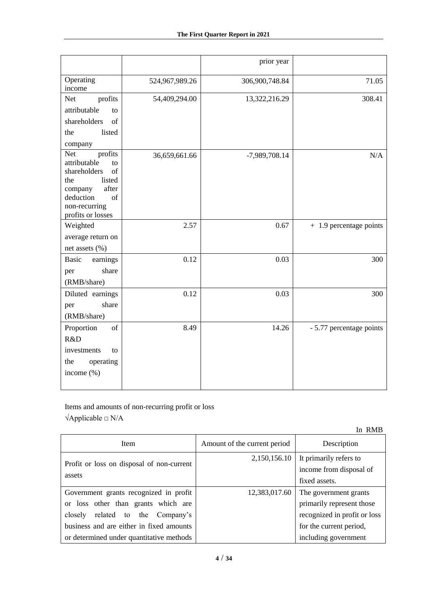| Operating<br>524,967,989.26<br>306,900,748.84<br>71.05<br>income<br>profits<br>54,409,294.00<br>13,322,216.29<br>308.41<br><b>Net</b><br>attributable<br>to<br>of<br>shareholders<br>listed<br>the<br>company<br>profits<br><b>Net</b><br>N/A<br>36,659,661.66<br>-7,989,708.14<br>attributable<br>to<br>shareholders<br>of<br>listed<br>the<br>after<br>company<br>deduction<br>of<br>non-recurring<br>profits or losses<br>2.57 |
|-----------------------------------------------------------------------------------------------------------------------------------------------------------------------------------------------------------------------------------------------------------------------------------------------------------------------------------------------------------------------------------------------------------------------------------|
|                                                                                                                                                                                                                                                                                                                                                                                                                                   |
|                                                                                                                                                                                                                                                                                                                                                                                                                                   |
|                                                                                                                                                                                                                                                                                                                                                                                                                                   |
|                                                                                                                                                                                                                                                                                                                                                                                                                                   |
|                                                                                                                                                                                                                                                                                                                                                                                                                                   |
|                                                                                                                                                                                                                                                                                                                                                                                                                                   |
|                                                                                                                                                                                                                                                                                                                                                                                                                                   |
|                                                                                                                                                                                                                                                                                                                                                                                                                                   |
|                                                                                                                                                                                                                                                                                                                                                                                                                                   |
|                                                                                                                                                                                                                                                                                                                                                                                                                                   |
|                                                                                                                                                                                                                                                                                                                                                                                                                                   |
|                                                                                                                                                                                                                                                                                                                                                                                                                                   |
| Weighted<br>+ 1.9 percentage points<br>0.67                                                                                                                                                                                                                                                                                                                                                                                       |
| average return on                                                                                                                                                                                                                                                                                                                                                                                                                 |
| net assets (%)                                                                                                                                                                                                                                                                                                                                                                                                                    |
| 0.12<br>0.03<br><b>Basic</b><br>300<br>earnings                                                                                                                                                                                                                                                                                                                                                                                   |
| share<br>per                                                                                                                                                                                                                                                                                                                                                                                                                      |
| (RMB/share)                                                                                                                                                                                                                                                                                                                                                                                                                       |
| Diluted earnings<br>0.12<br>0.03<br>300                                                                                                                                                                                                                                                                                                                                                                                           |
| share<br>per                                                                                                                                                                                                                                                                                                                                                                                                                      |
| (RMB/share)                                                                                                                                                                                                                                                                                                                                                                                                                       |
| Proportion<br>of<br>8.49<br>14.26<br>- 5.77 percentage points<br>R&D                                                                                                                                                                                                                                                                                                                                                              |
|                                                                                                                                                                                                                                                                                                                                                                                                                                   |
| investments<br>to<br>the<br>operating                                                                                                                                                                                                                                                                                                                                                                                             |
| income (%)                                                                                                                                                                                                                                                                                                                                                                                                                        |
|                                                                                                                                                                                                                                                                                                                                                                                                                                   |

Items and amounts of non-recurring profit or loss √Applicable □ N/A

In RMB Item Amount of the current period Description Profit or loss on disposal of non-current assets 2,150,156.10 It primarily refers to income from disposal of fixed assets. Government grants recognized in profit or loss other than grants which are closely related to the Company's business and are either in fixed amounts or determined under quantitative methods 12,383,017.60 The government grants primarily represent those recognized in profit or loss for the current period, including government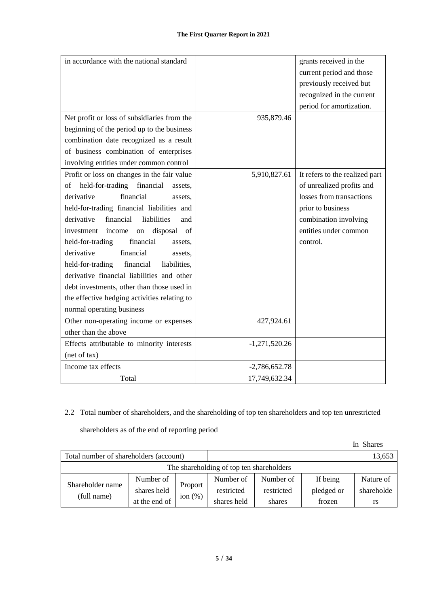| in accordance with the national standard             |                 | grants received in the         |
|------------------------------------------------------|-----------------|--------------------------------|
|                                                      |                 | current period and those       |
|                                                      |                 |                                |
|                                                      |                 | previously received but        |
|                                                      |                 | recognized in the current      |
|                                                      |                 | period for amortization.       |
| Net profit or loss of subsidiaries from the          | 935,879.46      |                                |
| beginning of the period up to the business           |                 |                                |
| combination date recognized as a result              |                 |                                |
| of business combination of enterprises               |                 |                                |
| involving entities under common control              |                 |                                |
| Profit or loss on changes in the fair value          | 5,910,827.61    | It refers to the realized part |
| held-for-trading financial<br>of<br>assets.          |                 | of unrealized profits and      |
| financial<br>derivative<br>assets.                   |                 | losses from transactions       |
| held-for-trading financial liabilities and           |                 | prior to business              |
| financial<br>derivative<br>liabilities<br>and        |                 | combination involving          |
| disposal<br>investment<br>income<br>${\rm on}$<br>of |                 | entities under common          |
| held-for-trading<br>financial<br>assets,             |                 | control.                       |
| derivative<br>financial<br>assets.                   |                 |                                |
| held-for-trading<br>financial<br>liabilities,        |                 |                                |
| derivative financial liabilities and other           |                 |                                |
| debt investments, other than those used in           |                 |                                |
| the effective hedging activities relating to         |                 |                                |
| normal operating business                            |                 |                                |
| Other non-operating income or expenses               | 427,924.61      |                                |
| other than the above                                 |                 |                                |
| Effects attributable to minority interests           | $-1,271,520.26$ |                                |
| (net of tax)                                         |                 |                                |
| Income tax effects                                   | $-2,786,652.78$ |                                |
| Total                                                | 17,749,632.34   |                                |

## 2.2 Total number of shareholders, and the shareholding of top ten shareholders and top ten unrestricted

shareholders as of the end of reporting period

|                                        |                        |            |                                          |            |            | In Shares |
|----------------------------------------|------------------------|------------|------------------------------------------|------------|------------|-----------|
| Total number of shareholders (account) |                        |            |                                          |            |            | 13,653    |
|                                        |                        |            | The shareholding of top ten shareholders |            |            |           |
| Shareholder name                       | Number of              |            | Number of                                | Number of  | If being   | Nature of |
|                                        | Proport<br>shares held | restricted | restricted                               | pledged or | shareholde |           |
| (full name)                            | at the end of          | ion $(\%)$ | shares held                              | shares     | frozen     | rs        |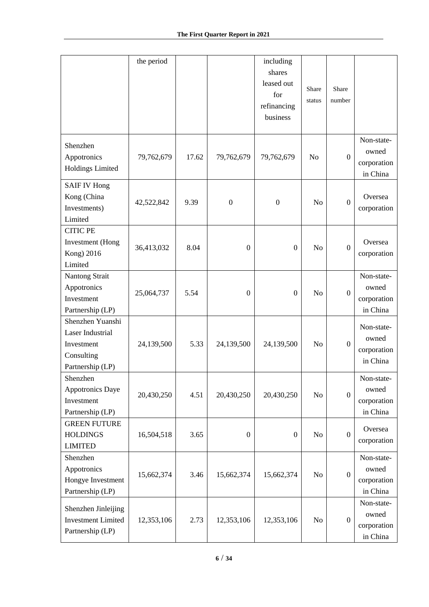|                                                                                      | the period |       |                  | including<br>shares<br>leased out<br>for<br>refinancing<br>business | Share<br>status | Share<br>number  |                                                |
|--------------------------------------------------------------------------------------|------------|-------|------------------|---------------------------------------------------------------------|-----------------|------------------|------------------------------------------------|
| Shenzhen<br>Appotronics<br><b>Holdings Limited</b>                                   | 79,762,679 | 17.62 | 79,762,679       | 79,762,679                                                          | N <sub>o</sub>  | $\mathbf{0}$     | Non-state-<br>owned<br>corporation<br>in China |
| <b>SAIF IV Hong</b><br>Kong (China<br>Investments)<br>Limited                        | 42,522,842 | 9.39  | $\boldsymbol{0}$ | $\boldsymbol{0}$                                                    | N <sub>o</sub>  | $\overline{0}$   | Oversea<br>corporation                         |
| <b>CITIC PE</b><br><b>Investment</b> (Hong<br>Kong) 2016<br>Limited                  | 36,413,032 | 8.04  | $\boldsymbol{0}$ | $\boldsymbol{0}$                                                    | N <sub>o</sub>  | $\mathbf{0}$     | Oversea<br>corporation                         |
| Nantong Strait<br>Appotronics<br>Investment<br>Partnership (LP)                      | 25,064,737 | 5.54  | $\boldsymbol{0}$ | $\boldsymbol{0}$                                                    | N <sub>o</sub>  | $\overline{0}$   | Non-state-<br>owned<br>corporation<br>in China |
| Shenzhen Yuanshi<br>Laser Industrial<br>Investment<br>Consulting<br>Partnership (LP) | 24,139,500 | 5.33  | 24,139,500       | 24,139,500                                                          | N <sub>o</sub>  | $\overline{0}$   | Non-state-<br>owned<br>corporation<br>in China |
| Shenzhen<br>Appotronics Daye<br>Investment<br>Partnership (LP)                       | 20,430,250 | 4.51  | 20,430,250       | 20,430,250                                                          | N <sub>o</sub>  | $\overline{0}$   | Non-state-<br>owned<br>corporation<br>in China |
| <b>GREEN FUTURE</b><br><b>HOLDINGS</b><br><b>LIMITED</b>                             | 16,504,518 | 3.65  | $\boldsymbol{0}$ | $\boldsymbol{0}$                                                    | N <sub>o</sub>  | $\boldsymbol{0}$ | Oversea<br>corporation                         |
| Shenzhen<br>Appotronics<br>Hongye Investment<br>Partnership (LP)                     | 15,662,374 | 3.46  | 15,662,374       | 15,662,374                                                          | N <sub>o</sub>  | $\overline{0}$   | Non-state-<br>owned<br>corporation<br>in China |
| Shenzhen Jinleijing<br><b>Investment Limited</b><br>Partnership (LP)                 | 12,353,106 | 2.73  | 12,353,106       | 12,353,106                                                          | N <sub>o</sub>  | $\overline{0}$   | Non-state-<br>owned<br>corporation<br>in China |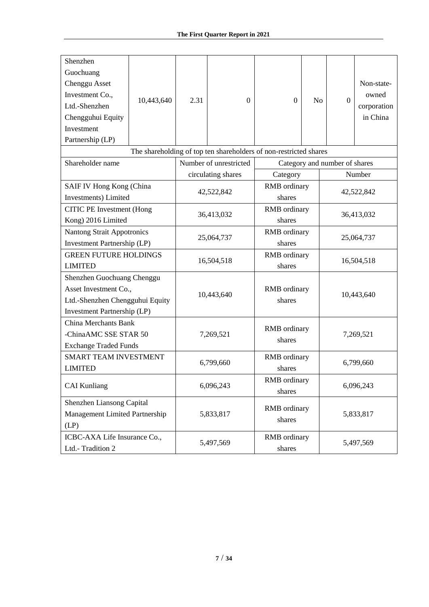| Shenzhen<br>Guochuang<br>Chenggu Asset<br>Investment Co.,<br>Ltd.-Shenzhen<br>Chengguhui Equity<br>Investment<br>Partnership (LP) | 10,443,640 | 2.31       | $\Omega$                                                                                    | $\overline{0}$                | N <sub>o</sub> | $\Omega$                      | Non-state-<br>owned<br>corporation<br>in China |
|-----------------------------------------------------------------------------------------------------------------------------------|------------|------------|---------------------------------------------------------------------------------------------|-------------------------------|----------------|-------------------------------|------------------------------------------------|
| Shareholder name                                                                                                                  |            |            | The shareholding of top ten shareholders of non-restricted shares<br>Number of unrestricted |                               |                | Category and number of shares |                                                |
|                                                                                                                                   |            |            | circulating shares                                                                          | Category                      |                |                               |                                                |
| SAIF IV Hong Kong (China<br>Investments) Limited                                                                                  |            |            | 42,522,842                                                                                  | RMB ordinary<br>shares        |                | Number<br>42,522,842          |                                                |
| <b>CITIC PE Investment (Hong</b><br>Kong) 2016 Limited                                                                            |            |            | 36,413,032                                                                                  | <b>RMB</b> ordinary<br>shares |                | 36,413,032                    |                                                |
| <b>Nantong Strait Appotronics</b><br><b>Investment Partnership (LP)</b>                                                           |            | 25,064,737 |                                                                                             | RMB ordinary<br>shares        |                | 25,064,737                    |                                                |
| <b>GREEN FUTURE HOLDINGS</b><br><b>LIMITED</b>                                                                                    |            | 16,504,518 |                                                                                             | <b>RMB</b> ordinary<br>shares |                | 16,504,518                    |                                                |
| Shenzhen Guochuang Chenggu<br>Asset Investment Co.,<br>Ltd.-Shenzhen Chengguhui Equity<br>Investment Partnership (LP)             |            |            | 10,443,640                                                                                  | <b>RMB</b> ordinary<br>shares |                | 10,443,640                    |                                                |
| <b>China Merchants Bank</b><br>-ChinaAMC SSE STAR 50<br><b>Exchange Traded Funds</b>                                              |            |            | RMB ordinary<br>7,269,521<br>shares                                                         |                               | 7,269,521      |                               |                                                |
| <b>SMART TEAM INVESTMENT</b><br><b>LIMITED</b>                                                                                    |            | 6,799,660  |                                                                                             | RMB ordinary<br>shares        |                | 6,799,660                     |                                                |
| <b>CAI Kunliang</b>                                                                                                               |            |            | 6,096,243                                                                                   | <b>RMB</b> ordinary<br>shares |                | 6,096,243                     |                                                |
| Shenzhen Liansong Capital<br>Management Limited Partnership<br>(LP)                                                               |            | 5,833,817  |                                                                                             | RMB ordinary<br>shares        |                | 5,833,817                     |                                                |
| ICBC-AXA Life Insurance Co.,<br>Ltd.-Tradition 2                                                                                  |            | 5,497,569  |                                                                                             | RMB ordinary<br>shares        |                | 5,497,569                     |                                                |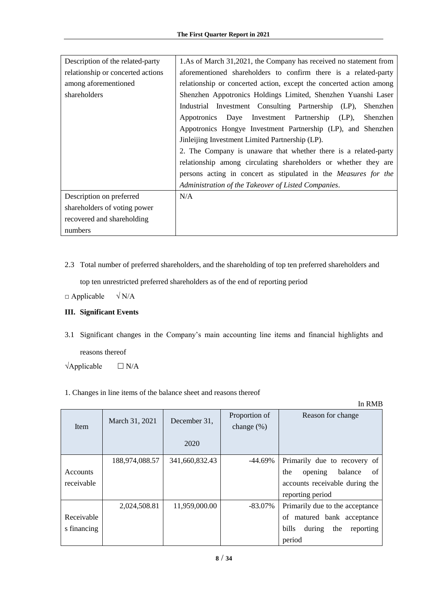| Description of the related-party  | 1.As of March 31,2021, the Company has received no statement from   |
|-----------------------------------|---------------------------------------------------------------------|
| relationship or concerted actions | aforementioned shareholders to confirm there is a related-party     |
| among aforementioned              | relationship or concerted action, except the concerted action among |
| shareholders                      | Shenzhen Appotronics Holdings Limited, Shenzhen Yuanshi Laser       |
|                                   | Industrial Investment Consulting Partnership (LP),<br>Shenzhen      |
|                                   | Appotronics Daye Investment Partnership (LP),<br>Shenzhen           |
|                                   | Appotronics Hongye Investment Partnership (LP), and Shenzhen        |
|                                   | Jinleijing Investment Limited Partnership (LP).                     |
|                                   | 2. The Company is unaware that whether there is a related-party     |
|                                   | relationship among circulating shareholders or whether they are     |
|                                   | persons acting in concert as stipulated in the Measures for the     |
|                                   | Administration of the Takeover of Listed Companies.                 |
| Description on preferred          | N/A                                                                 |
| shareholders of voting power      |                                                                     |
| recovered and shareholding        |                                                                     |
| numbers                           |                                                                     |

2.3 Total number of preferred shareholders, and the shareholding of top ten preferred shareholders and

top ten unrestricted preferred shareholders as of the end of reporting period

 $\Box$  Applicable  $\sqrt{N/A}$ 

## <span id="page-7-0"></span>**III. Significant Events**

3.1 Significant changes in the Company's main accounting line items and financial highlights and reasons thereof

 $\forall$ Applicable  $\Box$  N/A

1. Changes in line items of the balance sheet and reasons thereof

| <b>Item</b> | March 31, 2021 | December 31,   | Proportion of<br>change $(\%)$ | Reason for change                   |
|-------------|----------------|----------------|--------------------------------|-------------------------------------|
|             |                | 2020           |                                |                                     |
|             | 188,974,088.57 | 341,660,832.43 | $-44.69\%$                     | Primarily due to recovery of        |
| Accounts    |                |                |                                | of<br>opening<br>balance<br>the     |
| receivable  |                |                |                                | accounts receivable during the      |
|             |                |                |                                | reporting period                    |
|             | 2,024,508.81   | 11,959,000.00  | $-83.07\%$                     | Primarily due to the acceptance     |
| Receivable  |                |                |                                | matured bank acceptance<br>of       |
| s financing |                |                |                                | bills<br>the<br>during<br>reporting |
|             |                |                |                                | period                              |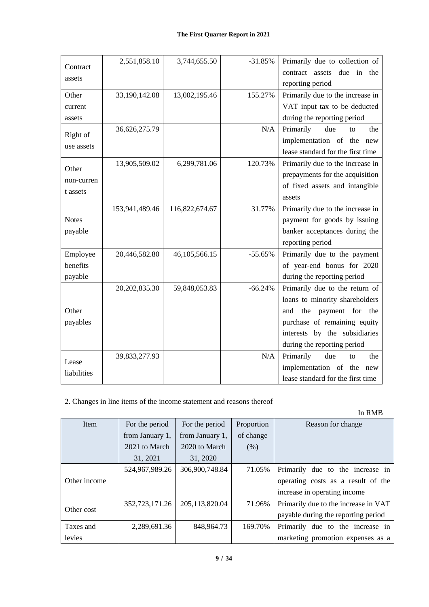| Contract     | 2,551,858.10   | 3,744,655.50   | $-31.85%$ | Primarily due to collection of      |
|--------------|----------------|----------------|-----------|-------------------------------------|
|              |                |                |           | due<br>contract assets<br>in<br>the |
| assets       |                |                |           | reporting period                    |
| Other        | 33,190,142.08  | 13,002,195.46  | 155.27%   | Primarily due to the increase in    |
| current      |                |                |           | VAT input tax to be deducted        |
| assets       |                |                |           | during the reporting period         |
|              | 36,626,275.79  |                | N/A       | Primarily<br>due<br>the<br>to       |
| Right of     |                |                |           | implementation of the<br>new        |
| use assets   |                |                |           | lease standard for the first time   |
|              | 13,905,509.02  | 6,299,781.06   | 120.73%   | Primarily due to the increase in    |
| Other        |                |                |           | prepayments for the acquisition     |
| non-curren   |                |                |           | of fixed assets and intangible      |
| t assets     |                |                |           | assets                              |
|              | 153,941,489.46 | 116,822,674.67 | 31.77%    | Primarily due to the increase in    |
| <b>Notes</b> |                |                |           | payment for goods by issuing        |
| payable      |                |                |           | banker acceptances during the       |
|              |                |                |           | reporting period                    |
| Employee     | 20,446,582.80  | 46,105,566.15  | $-55.65%$ | Primarily due to the payment        |
| benefits     |                |                |           | of year-end bonus for 2020          |
| payable      |                |                |           | during the reporting period         |
|              | 20,202,835.30  | 59,848,053.83  | $-66.24%$ | Primarily due to the return of      |
|              |                |                |           | loans to minority shareholders      |
| Other        |                |                |           | the<br>payment for<br>and<br>the    |
| payables     |                |                |           | purchase of remaining equity        |
|              |                |                |           | interests by the subsidiaries       |
|              |                |                |           | during the reporting period         |
| Lease        | 39,833,277.93  |                | N/A       | Primarily<br>due<br>the<br>to       |
|              |                |                |           | implementation of the new           |
| liabilities  |                |                |           | lease standard for the first time   |

## 2. Changes in line items of the income statement and reasons thereof

| Item         | For the period  | For the period  | Proportion | Reason for change                    |
|--------------|-----------------|-----------------|------------|--------------------------------------|
|              | from January 1, | from January 1, | of change  |                                      |
|              | 2021 to March   | 2020 to March   | (% )       |                                      |
|              | 31, 2021        | 31, 2020        |            |                                      |
|              | 524,967,989.26  | 306,900,748.84  | 71.05%     | Primarily due to the increase in     |
| Other income |                 |                 |            | operating costs as a result of the   |
|              |                 |                 |            | increase in operating income         |
| Other cost   | 352,723,171.26  | 205,113,820.04  | 71.96%     | Primarily due to the increase in VAT |
|              |                 |                 |            | payable during the reporting period  |
| Taxes and    | 2,289,691.36    | 848.964.73      | 169.70%    | Primarily due to the increase in     |
| levies       |                 |                 |            | marketing promotion expenses as a    |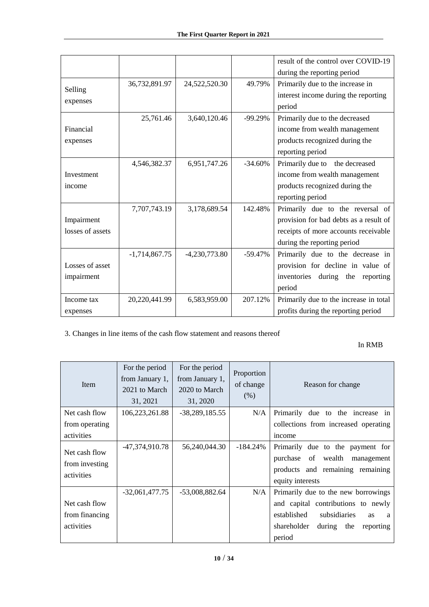|                  |                 |                 |           | result of the control over COVID-19    |
|------------------|-----------------|-----------------|-----------|----------------------------------------|
|                  |                 |                 |           | during the reporting period            |
|                  | 36,732,891.97   | 24,522,520.30   | 49.79%    | Primarily due to the increase in       |
| Selling          |                 |                 |           | interest income during the reporting   |
| expenses         |                 |                 |           | period                                 |
|                  | 25,761.46       | 3,640,120.46    | $-99.29%$ | Primarily due to the decreased         |
| Financial        |                 |                 |           | income from wealth management          |
| expenses         |                 |                 |           | products recognized during the         |
|                  |                 |                 |           | reporting period                       |
|                  | 4,546,382.37    | 6,951,747.26    | $-34.60%$ | Primarily due to the decreased         |
| Investment       |                 |                 |           | income from wealth management          |
| income           |                 |                 |           | products recognized during the         |
|                  |                 |                 |           | reporting period                       |
|                  | 7,707,743.19    | 3,178,689.54    | 142.48%   | Primarily due to the reversal of       |
| Impairment       |                 |                 |           | provision for bad debts as a result of |
| losses of assets |                 |                 |           | receipts of more accounts receivable   |
|                  |                 |                 |           | during the reporting period            |
|                  | $-1,714,867.75$ | $-4,230,773.80$ | $-59.47%$ | Primarily due to the decrease in       |
| Losses of asset  |                 |                 |           | provision for decline in value of      |
| impairment       |                 |                 |           | inventories<br>during the<br>reporting |
|                  |                 |                 |           | period                                 |
| Income tax       | 20,220,441.99   | 6,583,959.00    | 207.12%   | Primarily due to the increase in total |
| expenses         |                 |                 |           | profits during the reporting period    |

3. Changes in line items of the cash flow statement and reasons thereof

| <b>Item</b>                                   | For the period<br>from January 1,<br>2021 to March<br>31, 2021 | For the period<br>from January 1,<br>2020 to March<br>31, 2020 | Proportion<br>of change<br>(% ) | Reason for change                                                                                                               |
|-----------------------------------------------|----------------------------------------------------------------|----------------------------------------------------------------|---------------------------------|---------------------------------------------------------------------------------------------------------------------------------|
| Net cash flow                                 | 106,223,261.88                                                 | $-38,289,185.55$                                               | N/A                             | Primarily due to the increase in                                                                                                |
| from operating                                |                                                                |                                                                |                                 | collections from increased operating                                                                                            |
| activities                                    |                                                                |                                                                |                                 | income                                                                                                                          |
| Net cash flow<br>from investing<br>activities | -47,374,910.78                                                 | 56,240,044.30                                                  | $-184.24\%$                     | Primarily due to the payment for<br>purchase of<br>wealth<br>management<br>products and remaining remaining<br>equity interests |
|                                               | $-32,061,477.75$                                               | $-53,008,882.64$                                               | N/A                             | Primarily due to the new borrowings                                                                                             |
| Net cash flow                                 |                                                                |                                                                |                                 | and capital contributions to newly                                                                                              |
| from financing                                |                                                                |                                                                |                                 | established<br>subsidiaries<br><b>as</b><br>a                                                                                   |
| activities                                    |                                                                |                                                                |                                 | shareholder<br>during the<br>reporting                                                                                          |
|                                               |                                                                |                                                                |                                 | period                                                                                                                          |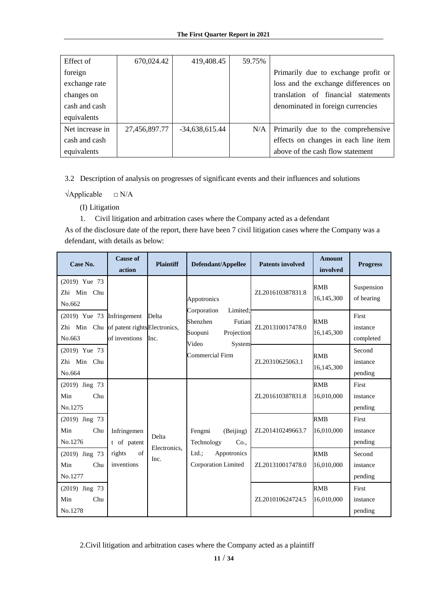| Effect of       | 670,024.42    | 419,408.45       | 59.75% |                                      |
|-----------------|---------------|------------------|--------|--------------------------------------|
| foreign         |               |                  |        | Primarily due to exchange profit or  |
| exchange rate   |               |                  |        | loss and the exchange differences on |
| changes on      |               |                  |        | translation of financial statements  |
| cash and cash   |               |                  |        | denominated in foreign currencies    |
| equivalents     |               |                  |        |                                      |
| Net increase in | 27,456,897.77 | $-34,638,615.44$ | N/A    | Primarily due to the comprehensive   |
| cash and cash   |               |                  |        | effects on changes in each line item |
| equivalents     |               |                  |        | above of the cash flow statement     |

3.2 Description of analysis on progresses of significant events and their influences and solutions

 $\forall$ Applicable  $\Box$  N/A

(I) Litigation

1. Civil litigation and arbitration cases where the Company acted as a defendant

As of the disclosure date of the report, there have been 7 civil litigation cases where the Company was a defendant, with details as below:

| Case No.                                                                            | <b>Cause of</b><br>action          | <b>Plaintiff</b>      | Defendant/Appellee                                                                        | <b>Patents involved</b> | <b>Amount</b><br>involved | <b>Progress</b>                |
|-------------------------------------------------------------------------------------|------------------------------------|-----------------------|-------------------------------------------------------------------------------------------|-------------------------|---------------------------|--------------------------------|
| $(2019)$ Yue 73<br>Zhi Min Chu<br>No.662                                            |                                    |                       | Appotronics                                                                               | ZL201610387831.8        | RMB<br>16,145,300         | Suspension<br>of hearing       |
| $(2019)$ Yue 73 Infringement<br>Zhi Min Chu of patent rights Electronics,<br>No.663 | of inventions                      | Delta<br>Inc.         | Corporation<br>Limited:<br>Shenzhen<br>Futian<br>Projection<br>Suopuni<br>Video<br>System | ZL201310017478.0        | <b>RMB</b><br>16,145,300  | First<br>instance<br>completed |
| $(2019)$ Yue 73<br>Zhi Min Chu<br>No.664                                            |                                    |                       | Commercial Firm                                                                           | ZL20310625063.1         | RMB<br>16,145,300         | Second<br>instance<br>pending  |
| $(2019)$ Jing 73<br>Min<br>Chu<br>No.1275                                           |                                    |                       |                                                                                           | ZL201610387831.8        | <b>RMB</b><br>16,010,000  | First<br>instance<br>pending   |
| (2019) Jing 73<br>Min<br>Chu<br>No.1276                                             | Infringemen<br>t of patent         | Delta<br>Electronics. | Fengmi<br>(Beijing)<br>Technology<br>Co.,                                                 | ZL201410249663.7        | <b>RMB</b><br>16,010,000  | First<br>instance<br>pending   |
| $(2019)$ Jing 73<br>Min<br>Chu<br>No.1277                                           | $\sigma$ f<br>rights<br>inventions | Inc.                  | $Ltd.$ ;<br>Appotronics<br>Corporation Limited                                            | ZL201310017478.0        | RMB<br>16,010,000         | Second<br>instance<br>pending  |
| (2019) Jing 73<br>Min<br>Chu<br>No.1278                                             |                                    |                       |                                                                                           | ZL201010624724.5        | <b>RMB</b><br>16,010,000  | First<br>instance<br>pending   |

2.Civil litigation and arbitration cases where the Company acted as a plaintiff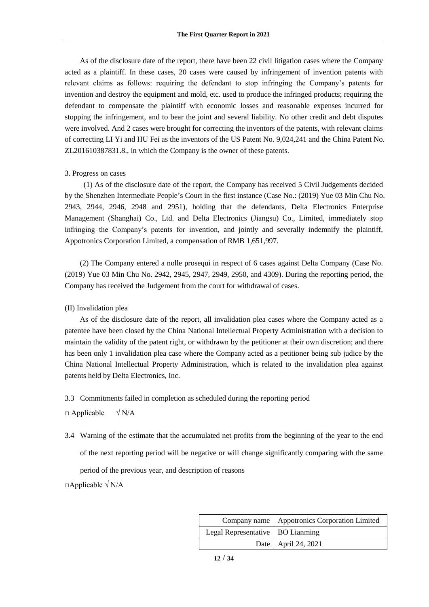As of the disclosure date of the report, there have been 22 civil litigation cases where the Company acted as a plaintiff. In these cases, 20 cases were caused by infringement of invention patents with relevant claims as follows: requiring the defendant to stop infringing the Company's patents for invention and destroy the equipment and mold, etc. used to produce the infringed products; requiring the defendant to compensate the plaintiff with economic losses and reasonable expenses incurred for stopping the infringement, and to bear the joint and several liability. No other credit and debt disputes were involved. And 2 cases were brought for correcting the inventors of the patents, with relevant claims of correcting LI Yi and HU Fei as the inventors of the US Patent No. 9,024,241 and the China Patent No. ZL201610387831.8., in which the Company is the owner of these patents.

#### 3. Progress on cases

(1) As of the disclosure date of the report, the Company has received 5 Civil Judgements decided by the Shenzhen Intermediate People's Court in the first instance (Case No.: (2019) Yue 03 Min Chu No. 2943, 2944, 2946, 2948 and 2951), holding that the defendants, Delta Electronics Enterprise Management (Shanghai) Co., Ltd. and Delta Electronics (Jiangsu) Co., Limited, immediately stop infringing the Company's patents for invention, and jointly and severally indemnify the plaintiff, Appotronics Corporation Limited, a compensation of RMB 1,651,997.

(2) The Company entered a nolle prosequi in respect of 6 cases against Delta Company (Case No. (2019) Yue 03 Min Chu No. 2942, 2945, 2947, 2949, 2950, and 4309). During the reporting period, the Company has received the Judgement from the court for withdrawal of cases.

#### (II) Invalidation plea

As of the disclosure date of the report, all invalidation plea cases where the Company acted as a patentee have been closed by the China National Intellectual Property Administration with a decision to maintain the validity of the patent right, or withdrawn by the petitioner at their own discretion; and there has been only 1 invalidation plea case where the Company acted as a petitioner being sub judice by the China National Intellectual Property Administration, which is related to the invalidation plea against patents held by Delta Electronics, Inc.

3.3 Commitments failed in completion as scheduled during the reporting period

 $\Box$  Applicable  $\sqrt{N/A}$ 

3.4 Warning of the estimate that the accumulated net profits from the beginning of the year to the end of the next reporting period will be negative or will change significantly comparing with the same period of the previous year, and description of reasons

 $\Box$ Applicable  $\sqrt{\rm N/A}$ 

|                                    | Company name   Appotronics Corporation Limited |
|------------------------------------|------------------------------------------------|
| Legal Representative   BO Lianming |                                                |
|                                    | Date   April 24, 2021                          |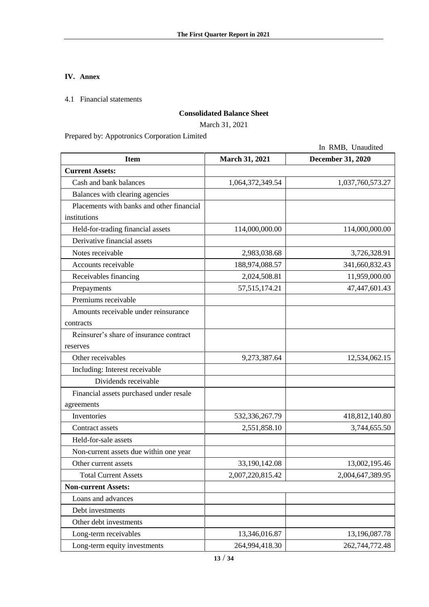## <span id="page-12-0"></span>**IV. Annex**

4.1 Financial statements

## **Consolidated Balance Sheet**

March 31, 2021

Prepared by: Appotronics Corporation Limited

|                                           |                       | In RMB, Unaudited        |
|-------------------------------------------|-----------------------|--------------------------|
| <b>Item</b>                               | <b>March 31, 2021</b> | <b>December 31, 2020</b> |
| <b>Current Assets:</b>                    |                       |                          |
| Cash and bank balances                    | 1,064,372,349.54      | 1,037,760,573.27         |
| Balances with clearing agencies           |                       |                          |
| Placements with banks and other financial |                       |                          |
| institutions                              |                       |                          |
| Held-for-trading financial assets         | 114,000,000.00        | 114,000,000.00           |
| Derivative financial assets               |                       |                          |
| Notes receivable                          | 2,983,038.68          | 3,726,328.91             |
| Accounts receivable                       | 188,974,088.57        | 341,660,832.43           |
| Receivables financing                     | 2,024,508.81          | 11,959,000.00            |
| Prepayments                               | 57, 515, 174. 21      | 47,447,601.43            |
| Premiums receivable                       |                       |                          |
| Amounts receivable under reinsurance      |                       |                          |
| contracts                                 |                       |                          |
| Reinsurer's share of insurance contract   |                       |                          |
| reserves                                  |                       |                          |
| Other receivables                         | 9,273,387.64          | 12,534,062.15            |
| Including: Interest receivable            |                       |                          |
| Dividends receivable                      |                       |                          |
| Financial assets purchased under resale   |                       |                          |
| agreements                                |                       |                          |
| Inventories                               | 532,336,267.79        | 418,812,140.80           |
| Contract assets                           | 2,551,858.10          | 3,744,655.50             |
| Held-for-sale assets                      |                       |                          |
| Non-current assets due within one year    |                       |                          |
| Other current assets                      | 33,190,142.08         | 13,002,195.46            |
| <b>Total Current Assets</b>               | 2,007,220,815.42      | 2,004,647,389.95         |
| <b>Non-current Assets:</b>                |                       |                          |
| Loans and advances                        |                       |                          |
| Debt investments                          |                       |                          |
| Other debt investments                    |                       |                          |
| Long-term receivables                     | 13,346,016.87         | 13,196,087.78            |
| Long-term equity investments              | 264,994,418.30        | 262,744,772.48           |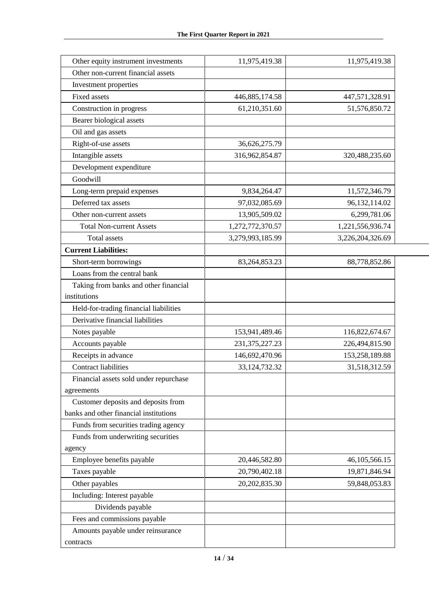| Other equity instrument investments    | 11,975,419.38     | 11,975,419.38    |
|----------------------------------------|-------------------|------------------|
| Other non-current financial assets     |                   |                  |
| Investment properties                  |                   |                  |
| <b>Fixed assets</b>                    | 446,885,174.58    | 447,571,328.91   |
| Construction in progress               | 61,210,351.60     | 51,576,850.72    |
| Bearer biological assets               |                   |                  |
| Oil and gas assets                     |                   |                  |
| Right-of-use assets                    | 36,626,275.79     |                  |
| Intangible assets                      | 316,962,854.87    | 320,488,235.60   |
| Development expenditure                |                   |                  |
| Goodwill                               |                   |                  |
| Long-term prepaid expenses             | 9,834,264.47      | 11,572,346.79    |
| Deferred tax assets                    | 97,032,085.69     | 96,132,114.02    |
| Other non-current assets               | 13,905,509.02     | 6,299,781.06     |
| <b>Total Non-current Assets</b>        | 1,272,772,370.57  | 1,221,556,936.74 |
| <b>Total assets</b>                    | 3,279,993,185.99  | 3,226,204,326.69 |
| <b>Current Liabilities:</b>            |                   |                  |
| Short-term borrowings                  | 83, 264, 853. 23  | 88,778,852.86    |
| Loans from the central bank            |                   |                  |
| Taking from banks and other financial  |                   |                  |
| institutions                           |                   |                  |
| Held-for-trading financial liabilities |                   |                  |
| Derivative financial liabilities       |                   |                  |
| Notes payable                          | 153,941,489.46    | 116,822,674.67   |
| Accounts payable                       | 231, 375, 227. 23 | 226,494,815.90   |
| Receipts in advance                    | 146,692,470.96    | 153,258,189.88   |
| <b>Contract liabilities</b>            | 33, 124, 732. 32  | 31,518,312.59    |
| Financial assets sold under repurchase |                   |                  |
| agreements                             |                   |                  |
| Customer deposits and deposits from    |                   |                  |
| banks and other financial institutions |                   |                  |
| Funds from securities trading agency   |                   |                  |
| Funds from underwriting securities     |                   |                  |
| agency                                 |                   |                  |
| Employee benefits payable              | 20,446,582.80     | 46,105,566.15    |
| Taxes payable                          | 20,790,402.18     | 19,871,846.94    |
| Other payables                         | 20, 202, 835.30   | 59,848,053.83    |
| Including: Interest payable            |                   |                  |
| Dividends payable                      |                   |                  |
| Fees and commissions payable           |                   |                  |
| Amounts payable under reinsurance      |                   |                  |
| contracts                              |                   |                  |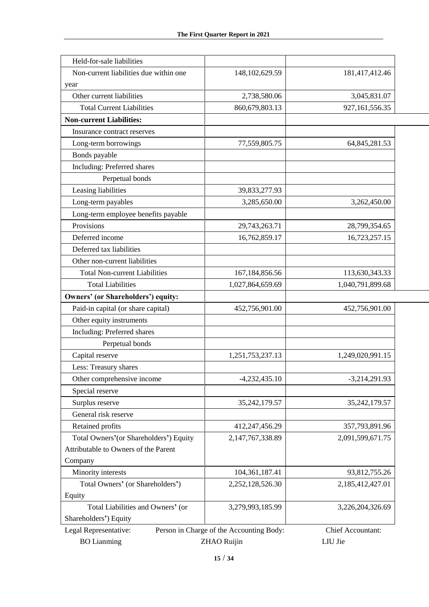| Held-for-sale liabilities                 |                                          |                   |
|-------------------------------------------|------------------------------------------|-------------------|
| Non-current liabilities due within one    | 148, 102, 629. 59                        | 181,417,412.46    |
| year                                      |                                          |                   |
| Other current liabilities                 | 2,738,580.06                             | 3,045,831.07      |
| <b>Total Current Liabilities</b>          | 860,679,803.13                           | 927,161,556.35    |
| <b>Non-current Liabilities:</b>           |                                          |                   |
| Insurance contract reserves               |                                          |                   |
| Long-term borrowings                      | 77,559,805.75                            | 64,845,281.53     |
| Bonds payable                             |                                          |                   |
| Including: Preferred shares               |                                          |                   |
| Perpetual bonds                           |                                          |                   |
| Leasing liabilities                       | 39,833,277.93                            |                   |
| Long-term payables                        | 3,285,650.00                             | 3,262,450.00      |
| Long-term employee benefits payable       |                                          |                   |
| Provisions                                | 29,743,263.71                            | 28,799,354.65     |
| Deferred income                           | 16,762,859.17                            | 16,723,257.15     |
| Deferred tax liabilities                  |                                          |                   |
| Other non-current liabilities             |                                          |                   |
| <b>Total Non-current Liabilities</b>      | 167, 184, 856. 56                        | 113,630,343.33    |
| <b>Total Liabilities</b>                  | 1,027,864,659.69                         | 1,040,791,899.68  |
| <b>Owners' (or Shareholders') equity:</b> |                                          |                   |
| Paid-in capital (or share capital)        | 452,756,901.00                           | 452,756,901.00    |
| Other equity instruments                  |                                          |                   |
| Including: Preferred shares               |                                          |                   |
| Perpetual bonds                           |                                          |                   |
| Capital reserve                           | 1,251,753,237.13                         | 1,249,020,991.15  |
| Less: Treasury shares                     |                                          |                   |
| Other comprehensive income                | $-4,232,435.10$                          | $-3,214,291.93$   |
| Special reserve                           |                                          |                   |
| Surplus reserve                           | 35, 242, 179.57                          | 35,242,179.57     |
| General risk reserve                      |                                          |                   |
| Retained profits                          | 412,247,456.29                           | 357,793,891.96    |
| Total Owners' (or Shareholders') Equity   | 2,147,767,338.89                         | 2,091,599,671.75  |
| Attributable to Owners of the Parent      |                                          |                   |
| Company                                   |                                          |                   |
| Minority interests                        | 104,361,187.41                           | 93,812,755.26     |
| Total Owners' (or Shareholders')          | 2,252,128,526.30                         | 2,185,412,427.01  |
| Equity                                    |                                          |                   |
| Total Liabilities and Owners' (or         | 3,279,993,185.99                         | 3,226,204,326.69  |
| Shareholders') Equity                     |                                          |                   |
| Legal Representative:                     | Person in Charge of the Accounting Body: | Chief Accountant: |
| <b>BO</b> Lianming                        | <b>ZHAO Ruijin</b>                       |                   |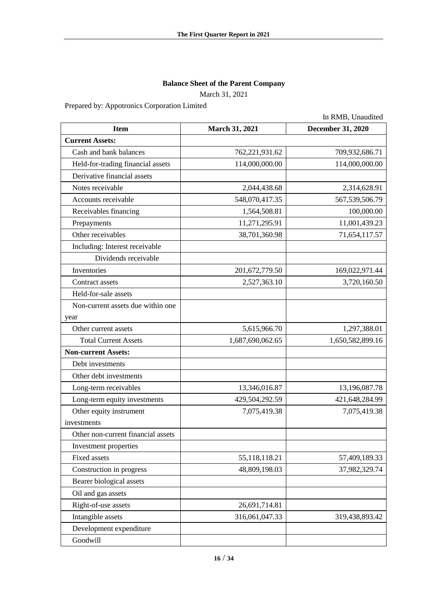## **Balance Sheet of the Parent Company**

March 31, 2021

Prepared by: Appotronics Corporation Limited

|                                    |                  | In RMB, Unaudited        |
|------------------------------------|------------------|--------------------------|
| <b>Item</b>                        | March 31, 2021   | <b>December 31, 2020</b> |
| <b>Current Assets:</b>             |                  |                          |
| Cash and bank balances             | 762,221,931.62   | 709,932,686.71           |
| Held-for-trading financial assets  | 114,000,000.00   | 114,000,000.00           |
| Derivative financial assets        |                  |                          |
| Notes receivable                   | 2,044,438.68     | 2,314,628.91             |
| Accounts receivable                | 548,070,417.35   | 567, 539, 506. 79        |
| Receivables financing              | 1,564,508.81     | 100,000.00               |
| Prepayments                        | 11,271,295.91    | 11,001,439.23            |
| Other receivables                  | 38,701,360.98    | 71,654,117.57            |
| Including: Interest receivable     |                  |                          |
| Dividends receivable               |                  |                          |
| Inventories                        | 201,672,779.50   | 169,022,971.44           |
| Contract assets                    | 2,527,363.10     | 3,720,160.50             |
| Held-for-sale assets               |                  |                          |
| Non-current assets due within one  |                  |                          |
| year                               |                  |                          |
| Other current assets               | 5,615,966.70     | 1,297,388.01             |
| <b>Total Current Assets</b>        | 1,687,690,062.65 | 1,650,582,899.16         |
| <b>Non-current Assets:</b>         |                  |                          |
| Debt investments                   |                  |                          |
| Other debt investments             |                  |                          |
| Long-term receivables              | 13,346,016.87    | 13,196,087.78            |
| Long-term equity investments       | 429,504,292.59   | 421,648,284.99           |
| Other equity instrument            | 7,075,419.38     | 7,075,419.38             |
| investments                        |                  |                          |
| Other non-current financial assets |                  |                          |
| Investment properties              |                  |                          |
| Fixed assets                       | 55, 118, 118. 21 | 57,409,189.33            |
| Construction in progress           | 48,809,198.03    | 37,982,329.74            |
| Bearer biological assets           |                  |                          |
| Oil and gas assets                 |                  |                          |
| Right-of-use assets                | 26,691,714.81    |                          |
| Intangible assets                  | 316,061,047.33   | 319,438,893.42           |
| Development expenditure            |                  |                          |
| Goodwill                           |                  |                          |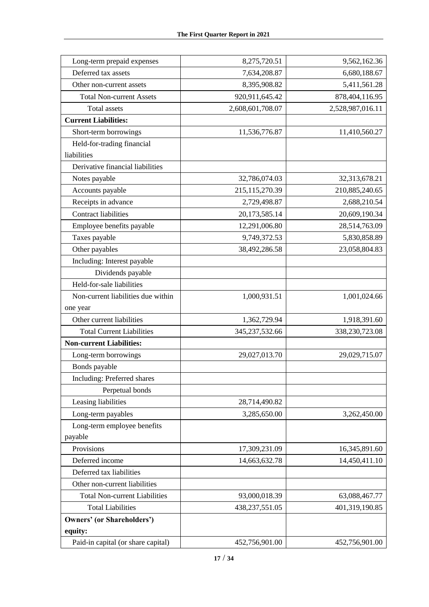| Long-term prepaid expenses           | 8,275,720.51     | 9,562,162.36     |
|--------------------------------------|------------------|------------------|
| Deferred tax assets                  | 7,634,208.87     | 6,680,188.67     |
| Other non-current assets             | 8,395,908.82     | 5,411,561.28     |
| <b>Total Non-current Assets</b>      | 920,911,645.42   | 878,404,116.95   |
| <b>Total assets</b>                  | 2,608,601,708.07 | 2,528,987,016.11 |
| <b>Current Liabilities:</b>          |                  |                  |
| Short-term borrowings                | 11,536,776.87    | 11,410,560.27    |
| Held-for-trading financial           |                  |                  |
| liabilities                          |                  |                  |
| Derivative financial liabilities     |                  |                  |
| Notes payable                        | 32,786,074.03    | 32,313,678.21    |
| Accounts payable                     | 215,115,270.39   | 210,885,240.65   |
| Receipts in advance                  | 2,729,498.87     | 2,688,210.54     |
| <b>Contract liabilities</b>          | 20,173,585.14    | 20,609,190.34    |
| Employee benefits payable            | 12,291,006.80    | 28,514,763.09    |
| Taxes payable                        | 9,749,372.53     | 5,830,858.89     |
| Other payables                       | 38,492,286.58    | 23,058,804.83    |
| Including: Interest payable          |                  |                  |
| Dividends payable                    |                  |                  |
| Held-for-sale liabilities            |                  |                  |
| Non-current liabilities due within   | 1,000,931.51     | 1,001,024.66     |
| one year                             |                  |                  |
| Other current liabilities            | 1,362,729.94     | 1,918,391.60     |
| <b>Total Current Liabilities</b>     | 345,237,532.66   | 338,230,723.08   |
| <b>Non-current Liabilities:</b>      |                  |                  |
| Long-term borrowings                 | 29,027,013.70    | 29,029,715.07    |
| Bonds payable                        |                  |                  |
| Including: Preferred shares          |                  |                  |
| Perpetual bonds                      |                  |                  |
| Leasing liabilities                  | 28,714,490.82    |                  |
| Long-term payables                   | 3,285,650.00     | 3,262,450.00     |
| Long-term employee benefits          |                  |                  |
| payable                              |                  |                  |
| Provisions                           | 17,309,231.09    | 16,345,891.60    |
| Deferred income                      | 14,663,632.78    | 14,450,411.10    |
| Deferred tax liabilities             |                  |                  |
| Other non-current liabilities        |                  |                  |
| <b>Total Non-current Liabilities</b> | 93,000,018.39    | 63,088,467.77    |
| <b>Total Liabilities</b>             | 438,237,551.05   | 401,319,190.85   |
| <b>Owners' (or Shareholders')</b>    |                  |                  |
| equity:                              |                  |                  |
| Paid-in capital (or share capital)   | 452,756,901.00   | 452,756,901.00   |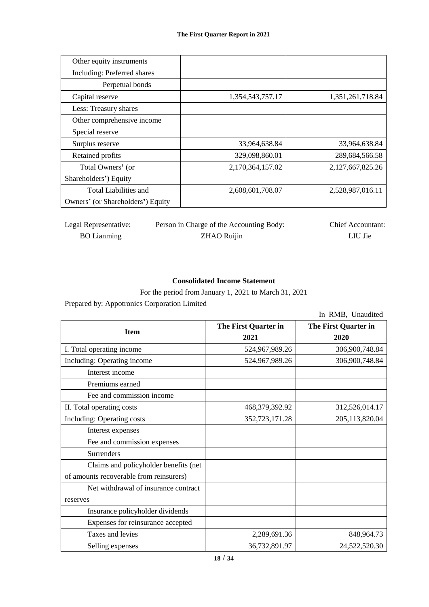| Other equity instruments          |                  |                  |
|-----------------------------------|------------------|------------------|
| Including: Preferred shares       |                  |                  |
| Perpetual bonds                   |                  |                  |
| Capital reserve                   | 1,354,543,757.17 | 1,351,261,718.84 |
| Less: Treasury shares             |                  |                  |
| Other comprehensive income        |                  |                  |
| Special reserve                   |                  |                  |
| Surplus reserve                   | 33,964,638.84    | 33,964,638.84    |
| Retained profits                  | 329,098,860.01   | 289,684,566.58   |
| Total Owners' (or                 | 2,170,364,157.02 | 2,127,667,825.26 |
| Shareholders') Equity             |                  |                  |
| Total Liabilities and             | 2,608,601,708.07 | 2,528,987,016.11 |
| Owners' (or Shareholders') Equity |                  |                  |

Legal Representative: Person in Charge of the Accounting Body: Chief Accountant:

BO Lianming ZHAO Ruijin LIU Jie

## **Consolidated Income Statement**

For the period from January 1, 2021 to March 31, 2021

Prepared by: Appotronics Corporation Limited

In RMB, Unaudited

| <b>Item</b>                             | The First Quarter in<br>2021 | The First Quarter in<br>2020 |
|-----------------------------------------|------------------------------|------------------------------|
| I. Total operating income               | 524,967,989.26               | 306,900,748.84               |
| Including: Operating income             | 524,967,989.26               | 306,900,748.84               |
| Interest income                         |                              |                              |
| Premiums earned                         |                              |                              |
| Fee and commission income               |                              |                              |
| II. Total operating costs               | 468,379,392.92               | 312,526,014.17               |
| Including: Operating costs              | 352,723,171.28               | 205,113,820.04               |
| Interest expenses                       |                              |                              |
| Fee and commission expenses             |                              |                              |
| Surrenders                              |                              |                              |
| Claims and policyholder benefits (net)  |                              |                              |
| of amounts recoverable from reinsurers) |                              |                              |
| Net withdrawal of insurance contract    |                              |                              |
| reserves                                |                              |                              |
| Insurance policyholder dividends        |                              |                              |
| Expenses for reinsurance accepted       |                              |                              |
| Taxes and levies                        | 2,289,691.36                 | 848,964.73                   |
| Selling expenses                        | 36,732,891.97                | 24,522,520.30                |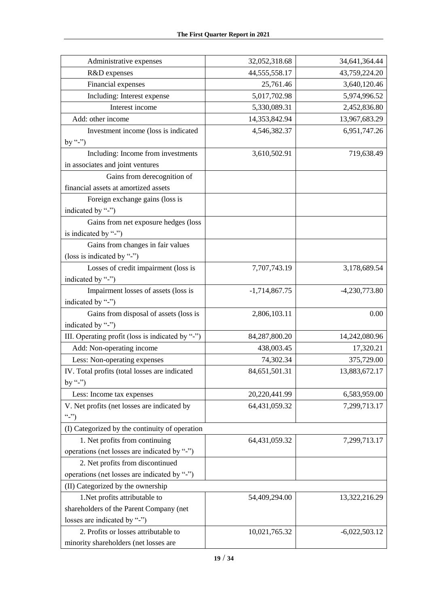| Administrative expenses                          | 32,052,318.68    | 34,641,364.44   |
|--------------------------------------------------|------------------|-----------------|
| R&D expenses                                     | 44, 555, 558. 17 | 43,759,224.20   |
| Financial expenses                               | 25,761.46        | 3,640,120.46    |
| Including: Interest expense                      | 5,017,702.98     | 5,974,996.52    |
| Interest income                                  | 5,330,089.31     | 2,452,836.80    |
| Add: other income                                | 14,353,842.94    | 13,967,683.29   |
| Investment income (loss is indicated             | 4,546,382.37     | 6,951,747.26    |
| by "-")                                          |                  |                 |
| Including: Income from investments               | 3,610,502.91     | 719,638.49      |
| in associates and joint ventures                 |                  |                 |
| Gains from derecognition of                      |                  |                 |
| financial assets at amortized assets             |                  |                 |
| Foreign exchange gains (loss is                  |                  |                 |
| indicated by "-")                                |                  |                 |
| Gains from net exposure hedges (loss             |                  |                 |
| is indicated by "-")                             |                  |                 |
| Gains from changes in fair values                |                  |                 |
| (loss is indicated by "-")                       |                  |                 |
| Losses of credit impairment (loss is             | 7,707,743.19     | 3,178,689.54    |
| indicated by "-")                                |                  |                 |
| Impairment losses of assets (loss is             | $-1,714,867.75$  | $-4,230,773.80$ |
| indicated by "-")                                |                  |                 |
| Gains from disposal of assets (loss is           | 2,806,103.11     | 0.00            |
| indicated by "-")                                |                  |                 |
| III. Operating profit (loss is indicated by "-") | 84,287,800.20    | 14,242,080.96   |
| Add: Non-operating income                        | 438,003.45       | 17,320.21       |
| Less: Non-operating expenses                     | 74,302.34        | 375,729.00      |
| IV. Total profits (total losses are indicated    | 84,651,501.31    | 13,883,672.17   |
| by "-")                                          |                  |                 |
| Less: Income tax expenses                        | 20,220,441.99    | 6,583,959.00    |
| V. Net profits (net losses are indicated by      | 64,431,059.32    | 7,299,713.17    |
| (2, 2)                                           |                  |                 |
| (I) Categorized by the continuity of operation   |                  |                 |
| 1. Net profits from continuing                   | 64,431,059.32    | 7,299,713.17    |
| operations (net losses are indicated by "-")     |                  |                 |
| 2. Net profits from discontinued                 |                  |                 |
| operations (net losses are indicated by "-")     |                  |                 |
| (II) Categorized by the ownership                |                  |                 |
| 1. Net profits attributable to                   | 54,409,294.00    | 13,322,216.29   |
| shareholders of the Parent Company (net          |                  |                 |
| losses are indicated by "-")                     |                  |                 |
| 2. Profits or losses attributable to             | 10,021,765.32    | $-6,022,503.12$ |
| minority shareholders (net losses are            |                  |                 |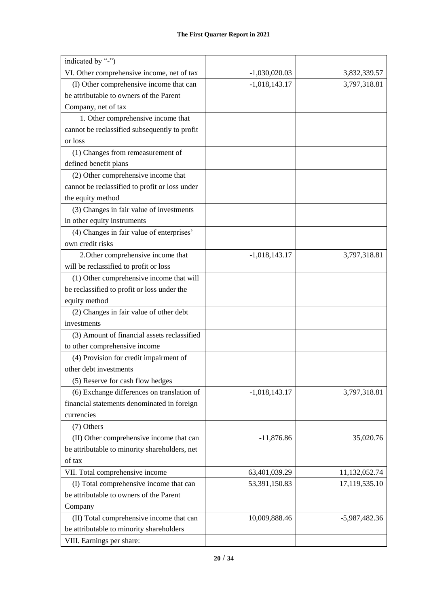| indicated by "-")                              |                 |               |
|------------------------------------------------|-----------------|---------------|
| VI. Other comprehensive income, net of tax     | $-1,030,020.03$ | 3,832,339.57  |
| (I) Other comprehensive income that can        | $-1,018,143.17$ | 3,797,318.81  |
| be attributable to owners of the Parent        |                 |               |
| Company, net of tax                            |                 |               |
| 1. Other comprehensive income that             |                 |               |
| cannot be reclassified subsequently to profit  |                 |               |
| or loss                                        |                 |               |
| (1) Changes from remeasurement of              |                 |               |
| defined benefit plans                          |                 |               |
| (2) Other comprehensive income that            |                 |               |
| cannot be reclassified to profit or loss under |                 |               |
| the equity method                              |                 |               |
| (3) Changes in fair value of investments       |                 |               |
| in other equity instruments                    |                 |               |
| (4) Changes in fair value of enterprises'      |                 |               |
| own credit risks                               |                 |               |
| 2. Other comprehensive income that             | $-1,018,143.17$ | 3,797,318.81  |
| will be reclassified to profit or loss         |                 |               |
| (1) Other comprehensive income that will       |                 |               |
| be reclassified to profit or loss under the    |                 |               |
| equity method                                  |                 |               |
| (2) Changes in fair value of other debt        |                 |               |
| investments                                    |                 |               |
| (3) Amount of financial assets reclassified    |                 |               |
| to other comprehensive income                  |                 |               |
| (4) Provision for credit impairment of         |                 |               |
| other debt investments                         |                 |               |
| (5) Reserve for cash flow hedges               |                 |               |
| (6) Exchange differences on translation of     | $-1,018,143.17$ | 3,797,318.81  |
| financial statements denominated in foreign    |                 |               |
| currencies                                     |                 |               |
| (7) Others                                     |                 |               |
| (II) Other comprehensive income that can       | $-11,876.86$    | 35,020.76     |
| be attributable to minority shareholders, net  |                 |               |
| of tax                                         |                 |               |
| VII. Total comprehensive income                | 63,401,039.29   | 11,132,052.74 |
| (I) Total comprehensive income that can        | 53,391,150.83   | 17,119,535.10 |
| be attributable to owners of the Parent        |                 |               |
| Company                                        |                 |               |
| (II) Total comprehensive income that can       | 10,009,888.46   | -5,987,482.36 |
| be attributable to minority shareholders       |                 |               |
| VIII. Earnings per share:                      |                 |               |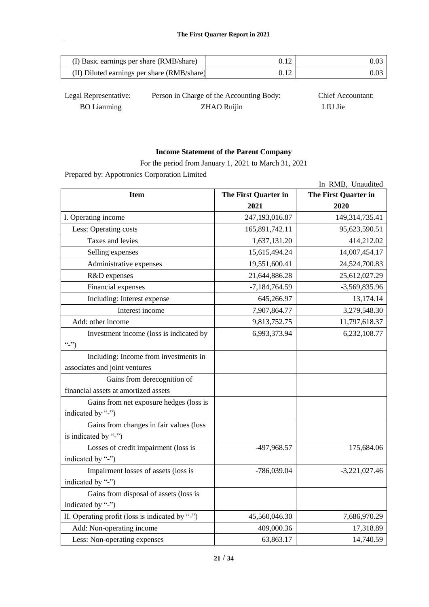| (I) Basic earnings per share (RMB/share)    |  |
|---------------------------------------------|--|
| (II) Diluted earnings per share (RMB/share) |  |

| Legal Representative: | Person in Charge of the Accounting Body: | <b>Chief Accountant:</b> |
|-----------------------|------------------------------------------|--------------------------|
| <b>BO</b> Lianming    | ZHAO Ruijin                              | LIU Jie                  |

## **Income Statement of the Parent Company**

For the period from January 1, 2021 to March 31, 2021

Prepared by: Appotronics Corporation Limited

|                                                 |                      | In RMB, Unaudited    |
|-------------------------------------------------|----------------------|----------------------|
| <b>Item</b>                                     | The First Quarter in | The First Quarter in |
|                                                 | 2021                 | 2020                 |
| I. Operating income                             | 247,193,016.87       | 149,314,735.41       |
| Less: Operating costs                           | 165,891,742.11       | 95,623,590.51        |
| Taxes and levies                                | 1,637,131.20         | 414,212.02           |
| Selling expenses                                | 15,615,494.24        | 14,007,454.17        |
| Administrative expenses                         | 19,551,600.41        | 24,524,700.83        |
| R&D expenses                                    | 21,644,886.28        | 25,612,027.29        |
| Financial expenses                              | $-7,184,764.59$      | -3,569,835.96        |
| Including: Interest expense                     | 645,266.97           | 13,174.14            |
| Interest income                                 | 7,907,864.77         | 3,279,548.30         |
| Add: other income                               | 9,813,752.75         | 11,797,618.37        |
| Investment income (loss is indicated by         | 6,993,373.94         | 6,232,108.77         |
| $``$ -")                                        |                      |                      |
| Including: Income from investments in           |                      |                      |
| associates and joint ventures                   |                      |                      |
| Gains from derecognition of                     |                      |                      |
| financial assets at amortized assets            |                      |                      |
| Gains from net exposure hedges (loss is         |                      |                      |
| indicated by "-")                               |                      |                      |
| Gains from changes in fair values (loss         |                      |                      |
| is indicated by "-")                            |                      |                      |
| Losses of credit impairment (loss is            | -497,968.57          | 175,684.06           |
| indicated by "-")                               |                      |                      |
| Impairment losses of assets (loss is            | -786,039.04          | $-3,221,027.46$      |
| indicated by "-")                               |                      |                      |
| Gains from disposal of assets (loss is          |                      |                      |
| indicated by "-")                               |                      |                      |
| II. Operating profit (loss is indicated by "-") | 45,560,046.30        | 7,686,970.29         |
| Add: Non-operating income                       | 409,000.36           | 17,318.89            |
| Less: Non-operating expenses                    | 63,863.17            | 14,740.59            |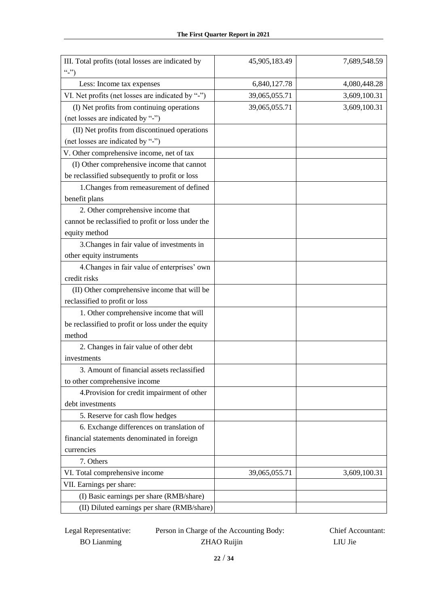| III. Total profits (total losses are indicated by  | 45,905,183.49 | 7,689,548.59 |
|----------------------------------------------------|---------------|--------------|
| (2, 2)                                             |               |              |
| Less: Income tax expenses                          | 6,840,127.78  | 4,080,448.28 |
| VI. Net profits (net losses are indicated by "-")  | 39,065,055.71 | 3,609,100.31 |
| (I) Net profits from continuing operations         | 39,065,055.71 | 3,609,100.31 |
| (net losses are indicated by "-")                  |               |              |
| (II) Net profits from discontinued operations      |               |              |
| (net losses are indicated by "-")                  |               |              |
| V. Other comprehensive income, net of tax          |               |              |
| (I) Other comprehensive income that cannot         |               |              |
| be reclassified subsequently to profit or loss     |               |              |
| 1. Changes from remeasurement of defined           |               |              |
| benefit plans                                      |               |              |
| 2. Other comprehensive income that                 |               |              |
| cannot be reclassified to profit or loss under the |               |              |
| equity method                                      |               |              |
| 3. Changes in fair value of investments in         |               |              |
| other equity instruments                           |               |              |
| 4. Changes in fair value of enterprises' own       |               |              |
| credit risks                                       |               |              |
| (II) Other comprehensive income that will be       |               |              |
| reclassified to profit or loss                     |               |              |
| 1. Other comprehensive income that will            |               |              |
| be reclassified to profit or loss under the equity |               |              |
| method                                             |               |              |
| 2. Changes in fair value of other debt             |               |              |
| investments                                        |               |              |
| 3. Amount of financial assets reclassified         |               |              |
| to other comprehensive income                      |               |              |
| 4. Provision for credit impairment of other        |               |              |
| debt investments                                   |               |              |
| 5. Reserve for cash flow hedges                    |               |              |
| 6. Exchange differences on translation of          |               |              |
| financial statements denominated in foreign        |               |              |
| currencies                                         |               |              |
| 7. Others                                          |               |              |
| VI. Total comprehensive income                     | 39,065,055.71 | 3,609,100.31 |
| VII. Earnings per share:                           |               |              |
| (I) Basic earnings per share (RMB/share)           |               |              |
| (II) Diluted earnings per share (RMB/share)        |               |              |

Legal Representative: Person in Charge of the Accounting Body: Chief Accountant: BO Lianming ZHAO Ruijin LIU Jie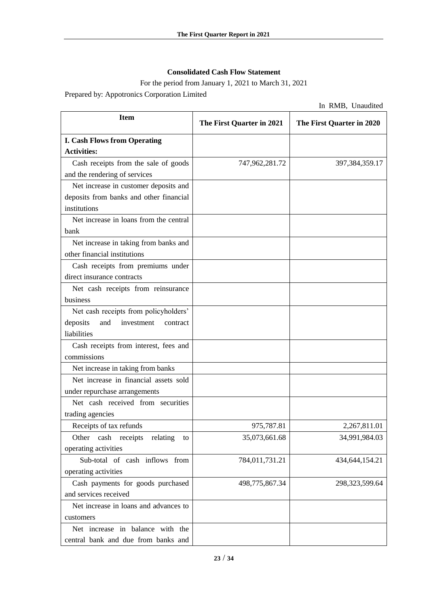## **Consolidated Cash Flow Statement**

For the period from January 1, 2021 to March 31, 2021 Prepared by: Appotronics Corporation Limited

In RMB, Unaudited

| <b>Item</b>                               | The First Quarter in 2021 | The First Quarter in 2020 |
|-------------------------------------------|---------------------------|---------------------------|
| <b>I. Cash Flows from Operating</b>       |                           |                           |
| <b>Activities:</b>                        |                           |                           |
| Cash receipts from the sale of goods      | 747,962,281.72            | 397, 384, 359. 17         |
| and the rendering of services             |                           |                           |
| Net increase in customer deposits and     |                           |                           |
| deposits from banks and other financial   |                           |                           |
| institutions                              |                           |                           |
| Net increase in loans from the central    |                           |                           |
| bank                                      |                           |                           |
| Net increase in taking from banks and     |                           |                           |
| other financial institutions              |                           |                           |
| Cash receipts from premiums under         |                           |                           |
| direct insurance contracts                |                           |                           |
| Net cash receipts from reinsurance        |                           |                           |
| business                                  |                           |                           |
| Net cash receipts from policyholders'     |                           |                           |
| deposits<br>and<br>investment<br>contract |                           |                           |
| liabilities                               |                           |                           |
| Cash receipts from interest, fees and     |                           |                           |
| commissions                               |                           |                           |
| Net increase in taking from banks         |                           |                           |
| Net increase in financial assets sold     |                           |                           |
| under repurchase arrangements             |                           |                           |
| Net cash received from securities         |                           |                           |
| trading agencies                          |                           |                           |
| Receipts of tax refunds                   | 975,787.81                | 2,267,811.01              |
| cash receipts<br>Other<br>relating<br>to  | 35,073,661.68             | 34,991,984.03             |
| operating activities                      |                           |                           |
| Sub-total of cash inflows from            | 784,011,731.21            | 434, 644, 154. 21         |
| operating activities                      |                           |                           |
| Cash payments for goods purchased         | 498,775,867.34            | 298,323,599.64            |
| and services received                     |                           |                           |
| Net increase in loans and advances to     |                           |                           |
| customers                                 |                           |                           |
| Net increase in balance with the          |                           |                           |
| central bank and due from banks and       |                           |                           |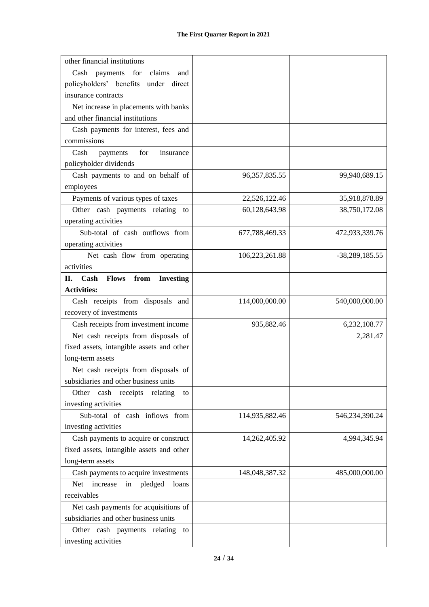| other financial institutions                           |                  |                |
|--------------------------------------------------------|------------------|----------------|
| Cash<br>for<br>claims<br>payments<br>and               |                  |                |
| policyholders' benefits under direct                   |                  |                |
| insurance contracts                                    |                  |                |
| Net increase in placements with banks                  |                  |                |
| and other financial institutions                       |                  |                |
| Cash payments for interest, fees and                   |                  |                |
| commissions                                            |                  |                |
| for<br>Cash<br>insurance<br>payments                   |                  |                |
| policyholder dividends                                 |                  |                |
| Cash payments to and on behalf of                      | 96, 357, 835. 55 | 99,940,689.15  |
| employees                                              |                  |                |
| Payments of various types of taxes                     | 22,526,122.46    | 35,918,878.89  |
| Other cash payments relating<br>to                     | 60,128,643.98    | 38,750,172.08  |
| operating activities                                   |                  |                |
| Sub-total of cash outflows from                        | 677,788,469.33   | 472,933,339.76 |
| operating activities                                   |                  |                |
| Net cash flow from operating                           | 106,223,261.88   | -38,289,185.55 |
| activities                                             |                  |                |
| <b>Flows</b><br>from<br><b>Investing</b><br>П.<br>Cash |                  |                |
| <b>Activities:</b>                                     |                  |                |
| Cash receipts from disposals and                       | 114,000,000.00   | 540,000,000.00 |
| recovery of investments                                |                  |                |
| Cash receipts from investment income                   | 935,882.46       | 6,232,108.77   |
| Net cash receipts from disposals of                    |                  | 2,281.47       |
| fixed assets, intangible assets and other              |                  |                |
| long-term assets                                       |                  |                |
| Net cash receipts from disposals of                    |                  |                |
| subsidiaries and other business units                  |                  |                |
| Other<br>cash receipts<br>relating<br>to               |                  |                |
| investing activities                                   |                  |                |
| Sub-total of cash inflows from                         | 114,935,882.46   | 546,234,390.24 |
| investing activities                                   |                  |                |
| Cash payments to acquire or construct                  | 14,262,405.92    | 4,994,345.94   |
| fixed assets, intangible assets and other              |                  |                |
| long-term assets                                       |                  |                |
| Cash payments to acquire investments                   | 148,048,387.32   | 485,000,000.00 |
| Net<br>increase<br>pledged<br>loans<br>in              |                  |                |
| receivables                                            |                  |                |
| Net cash payments for acquisitions of                  |                  |                |
| subsidiaries and other business units                  |                  |                |
| Other cash payments relating<br>to                     |                  |                |
| investing activities                                   |                  |                |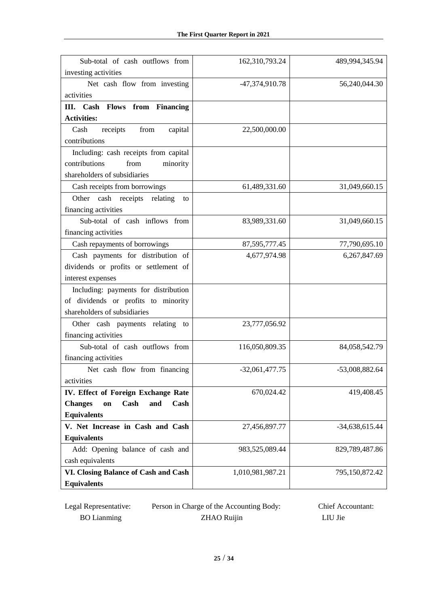| Sub-total of cash outflows from<br>investing activities | 162,310,793.24   | 489,994,345.94   |
|---------------------------------------------------------|------------------|------------------|
| Net cash flow from investing                            | -47,374,910.78   | 56,240,044.30    |
| activities                                              |                  |                  |
| <b>Flows</b><br>from Financing<br>III. Cash             |                  |                  |
| <b>Activities:</b>                                      |                  |                  |
| receipts<br>Cash<br>from<br>capital                     | 22,500,000.00    |                  |
| contributions                                           |                  |                  |
| Including: cash receipts from capital                   |                  |                  |
| from<br>minority<br>contributions                       |                  |                  |
| shareholders of subsidiaries                            |                  |                  |
| Cash receipts from borrowings                           | 61,489,331.60    | 31,049,660.15    |
| Other cash receipts relating<br>to                      |                  |                  |
| financing activities                                    |                  |                  |
| Sub-total of cash inflows from                          | 83,989,331.60    | 31,049,660.15    |
| financing activities                                    |                  |                  |
| Cash repayments of borrowings                           | 87, 595, 777. 45 | 77,790,695.10    |
| Cash payments for distribution of                       | 4,677,974.98     | 6,267,847.69     |
| dividends or profits or settlement of                   |                  |                  |
| interest expenses                                       |                  |                  |
| Including: payments for distribution                    |                  |                  |
| of dividends or profits to minority                     |                  |                  |
| shareholders of subsidiaries                            |                  |                  |
| Other cash payments relating to                         | 23,777,056.92    |                  |
| financing activities                                    |                  |                  |
| Sub-total of cash outflows from                         | 116,050,809.35   | 84,058,542.79    |
| financing activities                                    |                  |                  |
| Net cash flow from financing                            | $-32,061,477.75$ | -53,008,882.64   |
| activities                                              |                  |                  |
| IV. Effect of Foreign Exchange Rate                     | 670,024.42       | 419,408.45       |
| Cash<br><b>Changes</b><br>and<br>Cash<br>on             |                  |                  |
| <b>Equivalents</b>                                      |                  |                  |
| V. Net Increase in Cash and Cash                        | 27,456,897.77    | $-34,638,615.44$ |
| <b>Equivalents</b>                                      |                  |                  |
| Add: Opening balance of cash and                        | 983,525,089.44   | 829,789,487.86   |
| cash equivalents                                        |                  |                  |
| VI. Closing Balance of Cash and Cash                    | 1,010,981,987.21 | 795,150,872.42   |
| <b>Equivalents</b>                                      |                  |                  |

| Legal Representative: | Person in Charge of the Accounting Body: | <b>Chief Accountant:</b> |
|-----------------------|------------------------------------------|--------------------------|
| <b>BO</b> Lianming    | <b>ZHAO Ruijin</b>                       | LIU Jie                  |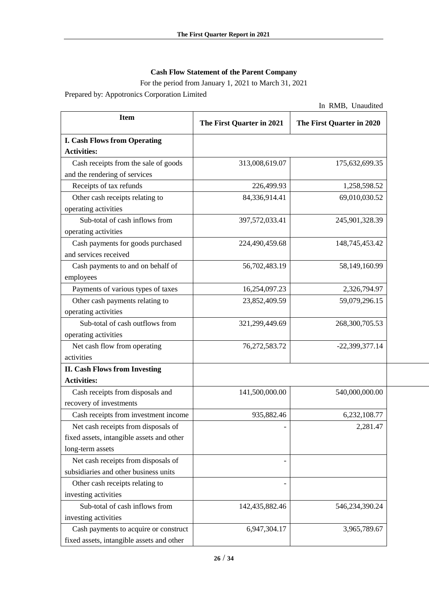## **Cash Flow Statement of the Parent Company**

For the period from January 1, 2021 to March 31, 2021 Prepared by: Appotronics Corporation Limited

In RMB, Unaudited

| <b>Item</b>                               | The First Quarter in 2021 | The First Quarter in 2020 |
|-------------------------------------------|---------------------------|---------------------------|
| <b>I. Cash Flows from Operating</b>       |                           |                           |
| <b>Activities:</b>                        |                           |                           |
| Cash receipts from the sale of goods      | 313,008,619.07            | 175,632,699.35            |
| and the rendering of services             |                           |                           |
| Receipts of tax refunds                   | 226,499.93                | 1,258,598.52              |
| Other cash receipts relating to           | 84,336,914.41             | 69,010,030.52             |
| operating activities                      |                           |                           |
| Sub-total of cash inflows from            | 397,572,033.41            | 245,901,328.39            |
| operating activities                      |                           |                           |
| Cash payments for goods purchased         | 224,490,459.68            | 148,745,453.42            |
| and services received                     |                           |                           |
| Cash payments to and on behalf of         | 56,702,483.19             | 58,149,160.99             |
| employees                                 |                           |                           |
| Payments of various types of taxes        | 16,254,097.23             | 2,326,794.97              |
| Other cash payments relating to           | 23,852,409.59             | 59,079,296.15             |
| operating activities                      |                           |                           |
| Sub-total of cash outflows from           | 321,299,449.69            | 268,300,705.53            |
| operating activities                      |                           |                           |
| Net cash flow from operating              | 76,272,583.72             | $-22,399,377.14$          |
| activities                                |                           |                           |
| <b>II. Cash Flows from Investing</b>      |                           |                           |
| <b>Activities:</b>                        |                           |                           |
| Cash receipts from disposals and          | 141,500,000.00            | 540,000,000.00            |
| recovery of investments                   |                           |                           |
| Cash receipts from investment income      | 935,882.46                | 6,232,108.77              |
| Net cash receipts from disposals of       |                           | 2,281.47                  |
| fixed assets, intangible assets and other |                           |                           |
| long-term assets                          |                           |                           |
| Net cash receipts from disposals of       |                           |                           |
| subsidiaries and other business units     |                           |                           |
| Other cash receipts relating to           |                           |                           |
| investing activities                      |                           |                           |
| Sub-total of cash inflows from            | 142,435,882.46            | 546,234,390.24            |
| investing activities                      |                           |                           |
| Cash payments to acquire or construct     | 6,947,304.17              | 3,965,789.67              |
| fixed assets, intangible assets and other |                           |                           |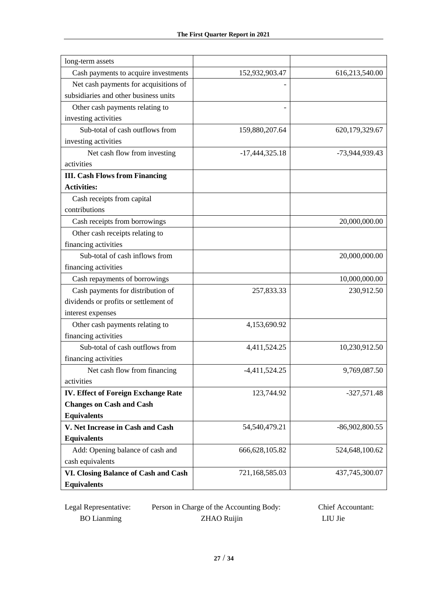| long-term assets                           |                  |                  |
|--------------------------------------------|------------------|------------------|
| Cash payments to acquire investments       | 152,932,903.47   | 616,213,540.00   |
| Net cash payments for acquisitions of      |                  |                  |
| subsidiaries and other business units      |                  |                  |
| Other cash payments relating to            |                  |                  |
| investing activities                       |                  |                  |
| Sub-total of cash outflows from            | 159,880,207.64   | 620,179,329.67   |
| investing activities                       |                  |                  |
| Net cash flow from investing               | $-17,444,325.18$ | -73,944,939.43   |
| activities                                 |                  |                  |
| <b>III. Cash Flows from Financing</b>      |                  |                  |
| <b>Activities:</b>                         |                  |                  |
| Cash receipts from capital                 |                  |                  |
| contributions                              |                  |                  |
| Cash receipts from borrowings              |                  | 20,000,000.00    |
| Other cash receipts relating to            |                  |                  |
| financing activities                       |                  |                  |
| Sub-total of cash inflows from             |                  | 20,000,000.00    |
| financing activities                       |                  |                  |
| Cash repayments of borrowings              |                  | 10,000,000.00    |
| Cash payments for distribution of          | 257,833.33       | 230,912.50       |
| dividends or profits or settlement of      |                  |                  |
| interest expenses                          |                  |                  |
| Other cash payments relating to            | 4,153,690.92     |                  |
| financing activities                       |                  |                  |
| Sub-total of cash outflows from            | 4,411,524.25     | 10,230,912.50    |
| financing activities                       |                  |                  |
| Net cash flow from financing               | $-4,411,524.25$  | 9,769,087.50     |
| activities                                 |                  |                  |
| <b>IV. Effect of Foreign Exchange Rate</b> | 123,744.92       | $-327,571.48$    |
| <b>Changes on Cash and Cash</b>            |                  |                  |
| <b>Equivalents</b>                         |                  |                  |
| V. Net Increase in Cash and Cash           | 54,540,479.21    | $-86,902,800.55$ |
| <b>Equivalents</b>                         |                  |                  |
| Add: Opening balance of cash and           | 666, 628, 105.82 | 524,648,100.62   |
| cash equivalents                           |                  |                  |
| VI. Closing Balance of Cash and Cash       | 721,168,585.03   | 437,745,300.07   |
| <b>Equivalents</b>                         |                  |                  |

| Legal Representative: | Person in Charge of the Accounting Body: | <b>Chief Accountant:</b> |
|-----------------------|------------------------------------------|--------------------------|
| <b>BO</b> Lianming    | <b>ZHAO Ruijin</b>                       | LIU Jie                  |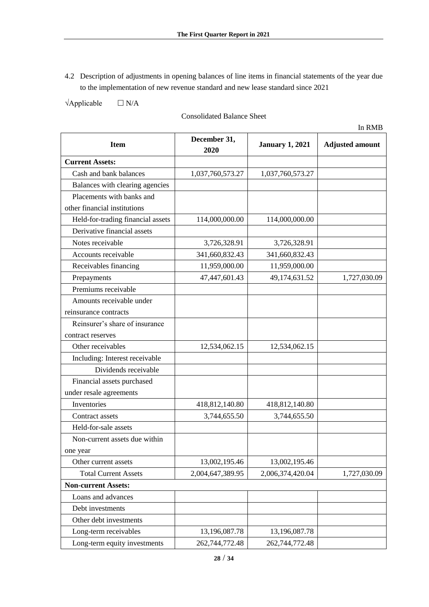4.2 Description of adjustments in opening balances of line items in financial statements of the year due to the implementation of new revenue standard and new lease standard since 2021

 $\forall$ Applicable  $\Box$  N/A

Consolidated Balance Sheet

| <b>Item</b>                       | December 31,<br>2020 | <b>January 1, 2021</b> | <b>Adjusted amount</b> |
|-----------------------------------|----------------------|------------------------|------------------------|
| <b>Current Assets:</b>            |                      |                        |                        |
| Cash and bank balances            | 1,037,760,573.27     | 1,037,760,573.27       |                        |
| Balances with clearing agencies   |                      |                        |                        |
| Placements with banks and         |                      |                        |                        |
| other financial institutions      |                      |                        |                        |
| Held-for-trading financial assets | 114,000,000.00       | 114,000,000.00         |                        |
| Derivative financial assets       |                      |                        |                        |
| Notes receivable                  | 3,726,328.91         | 3,726,328.91           |                        |
| Accounts receivable               | 341,660,832.43       | 341,660,832.43         |                        |
| Receivables financing             | 11,959,000.00        | 11,959,000.00          |                        |
| Prepayments                       | 47,447,601.43        | 49,174,631.52          | 1,727,030.09           |
| Premiums receivable               |                      |                        |                        |
| Amounts receivable under          |                      |                        |                        |
| reinsurance contracts             |                      |                        |                        |
| Reinsurer's share of insurance    |                      |                        |                        |
| contract reserves                 |                      |                        |                        |
| Other receivables                 | 12,534,062.15        | 12,534,062.15          |                        |
| Including: Interest receivable    |                      |                        |                        |
| Dividends receivable              |                      |                        |                        |
| Financial assets purchased        |                      |                        |                        |
| under resale agreements           |                      |                        |                        |
| Inventories                       | 418,812,140.80       | 418,812,140.80         |                        |
| Contract assets                   | 3,744,655.50         | 3,744,655.50           |                        |
| Held-for-sale assets              |                      |                        |                        |
| Non-current assets due within     |                      |                        |                        |
| one year                          |                      |                        |                        |
| Other current assets              | 13,002,195.46        | 13,002,195.46          |                        |
| <b>Total Current Assets</b>       | 2,004,647,389.95     | 2,006,374,420.04       | 1,727,030.09           |
| <b>Non-current Assets:</b>        |                      |                        |                        |
| Loans and advances                |                      |                        |                        |
| Debt investments                  |                      |                        |                        |
| Other debt investments            |                      |                        |                        |
| Long-term receivables             | 13,196,087.78        | 13,196,087.78          |                        |
| Long-term equity investments      | 262,744,772.48       | 262,744,772.48         |                        |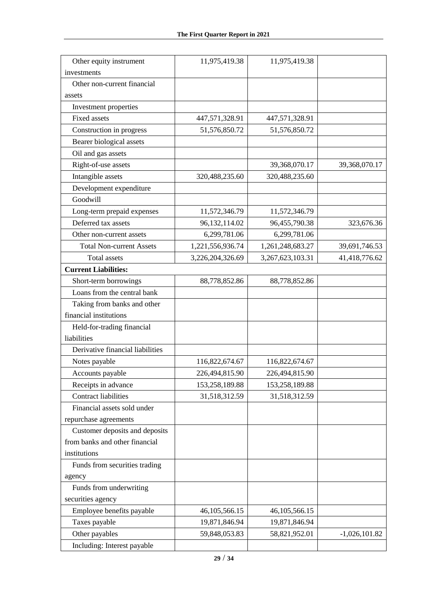| Other equity instrument          | 11,975,419.38    | 11,975,419.38    |                 |
|----------------------------------|------------------|------------------|-----------------|
| investments                      |                  |                  |                 |
| Other non-current financial      |                  |                  |                 |
| assets                           |                  |                  |                 |
| Investment properties            |                  |                  |                 |
| <b>Fixed assets</b>              | 447,571,328.91   | 447,571,328.91   |                 |
| Construction in progress         | 51,576,850.72    | 51,576,850.72    |                 |
| Bearer biological assets         |                  |                  |                 |
| Oil and gas assets               |                  |                  |                 |
| Right-of-use assets              |                  | 39,368,070.17    | 39,368,070.17   |
| Intangible assets                | 320,488,235.60   | 320,488,235.60   |                 |
| Development expenditure          |                  |                  |                 |
| Goodwill                         |                  |                  |                 |
| Long-term prepaid expenses       | 11,572,346.79    | 11,572,346.79    |                 |
| Deferred tax assets              | 96,132,114.02    | 96,455,790.38    | 323,676.36      |
| Other non-current assets         | 6,299,781.06     | 6,299,781.06     |                 |
| <b>Total Non-current Assets</b>  | 1,221,556,936.74 | 1,261,248,683.27 | 39,691,746.53   |
| <b>Total assets</b>              | 3,226,204,326.69 | 3,267,623,103.31 | 41,418,776.62   |
| <b>Current Liabilities:</b>      |                  |                  |                 |
| Short-term borrowings            | 88,778,852.86    | 88,778,852.86    |                 |
| Loans from the central bank      |                  |                  |                 |
| Taking from banks and other      |                  |                  |                 |
| financial institutions           |                  |                  |                 |
| Held-for-trading financial       |                  |                  |                 |
| liabilities                      |                  |                  |                 |
| Derivative financial liabilities |                  |                  |                 |
| Notes payable                    | 116,822,674.67   | 116,822,674.67   |                 |
| Accounts payable                 | 226,494,815.90   | 226,494,815.90   |                 |
| Receipts in advance              | 153,258,189.88   | 153,258,189.88   |                 |
| <b>Contract liabilities</b>      | 31,518,312.59    | 31,518,312.59    |                 |
| Financial assets sold under      |                  |                  |                 |
| repurchase agreements            |                  |                  |                 |
| Customer deposits and deposits   |                  |                  |                 |
| from banks and other financial   |                  |                  |                 |
| institutions                     |                  |                  |                 |
| Funds from securities trading    |                  |                  |                 |
| agency                           |                  |                  |                 |
| Funds from underwriting          |                  |                  |                 |
| securities agency                |                  |                  |                 |
| Employee benefits payable        | 46, 105, 566. 15 | 46,105,566.15    |                 |
| Taxes payable                    | 19,871,846.94    | 19,871,846.94    |                 |
| Other payables                   | 59,848,053.83    | 58,821,952.01    | $-1,026,101.82$ |
| Including: Interest payable      |                  |                  |                 |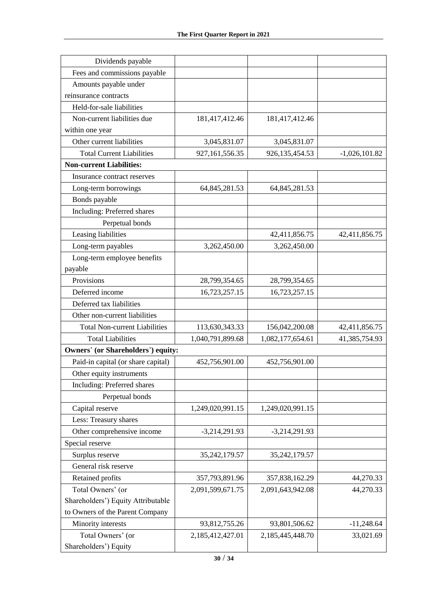| Dividends payable                         |                   |                  |                 |
|-------------------------------------------|-------------------|------------------|-----------------|
| Fees and commissions payable              |                   |                  |                 |
| Amounts payable under                     |                   |                  |                 |
| reinsurance contracts                     |                   |                  |                 |
| Held-for-sale liabilities                 |                   |                  |                 |
| Non-current liabilities due               | 181,417,412.46    | 181,417,412.46   |                 |
| within one year                           |                   |                  |                 |
| Other current liabilities                 | 3,045,831.07      | 3,045,831.07     |                 |
| <b>Total Current Liabilities</b>          | 927, 161, 556. 35 | 926, 135, 454.53 | $-1,026,101.82$ |
| <b>Non-current Liabilities:</b>           |                   |                  |                 |
| Insurance contract reserves               |                   |                  |                 |
| Long-term borrowings                      | 64,845,281.53     | 64,845,281.53    |                 |
| Bonds payable                             |                   |                  |                 |
| Including: Preferred shares               |                   |                  |                 |
| Perpetual bonds                           |                   |                  |                 |
| Leasing liabilities                       |                   | 42,411,856.75    | 42,411,856.75   |
| Long-term payables                        | 3,262,450.00      | 3,262,450.00     |                 |
| Long-term employee benefits               |                   |                  |                 |
| payable                                   |                   |                  |                 |
| Provisions                                | 28,799,354.65     | 28,799,354.65    |                 |
| Deferred income                           | 16,723,257.15     | 16,723,257.15    |                 |
| Deferred tax liabilities                  |                   |                  |                 |
| Other non-current liabilities             |                   |                  |                 |
| <b>Total Non-current Liabilities</b>      | 113,630,343.33    | 156,042,200.08   | 42,411,856.75   |
| <b>Total Liabilities</b>                  | 1,040,791,899.68  | 1,082,177,654.61 | 41,385,754.93   |
| <b>Owners' (or Shareholders') equity:</b> |                   |                  |                 |
| Paid-in capital (or share capital)        | 452,756,901.00    | 452,756,901.00   |                 |
| Other equity instruments                  |                   |                  |                 |
| Including: Preferred shares               |                   |                  |                 |
| Perpetual bonds                           |                   |                  |                 |
| Capital reserve                           | 1,249,020,991.15  | 1,249,020,991.15 |                 |
| Less: Treasury shares                     |                   |                  |                 |
| Other comprehensive income                | $-3,214,291.93$   | $-3,214,291.93$  |                 |
| Special reserve                           |                   |                  |                 |
| Surplus reserve                           | 35, 242, 179.57   | 35, 242, 179.57  |                 |
| General risk reserve                      |                   |                  |                 |
| Retained profits                          | 357,793,891.96    | 357,838,162.29   | 44,270.33       |
| Total Owners' (or                         | 2,091,599,671.75  | 2,091,643,942.08 | 44,270.33       |
| Shareholders') Equity Attributable        |                   |                  |                 |
| to Owners of the Parent Company           |                   |                  |                 |
| Minority interests                        | 93,812,755.26     | 93,801,506.62    | $-11,248.64$    |
| Total Owners' (or                         | 2,185,412,427.01  | 2,185,445,448.70 | 33,021.69       |
| Shareholders') Equity                     |                   |                  |                 |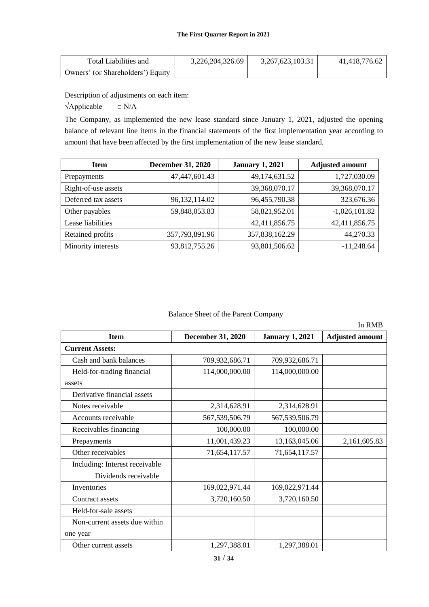| Total Liabilities and             | 3,226,204,326.69 | 3, 267, 623, 103. 31 | 41.418.776.62 |
|-----------------------------------|------------------|----------------------|---------------|
| Owners' (or Shareholders') Equity |                  |                      |               |

Description of adjustments on each item:

 $\forall$ Applicable  $\Box$  N/A

The Company, as implemented the new lease standard since January 1, 2021, adjusted the opening balance of relevant line items in the financial statements of the first implementation year according to amount that have been affected by the first implementation of the new lease standard.

| <b>Item</b>         | <b>December 31, 2020</b> | <b>January 1, 2021</b> | <b>Adjusted amount</b> |
|---------------------|--------------------------|------------------------|------------------------|
| Prepayments         | 47,447,601.43            | 49,174,631.52          | 1,727,030.09           |
| Right-of-use assets |                          | 39,368,070.17          | 39,368,070.17          |
| Deferred tax assets | 96,132,114.02            | 96,455,790.38          | 323,676.36             |
| Other payables      | 59,848,053.83            | 58,821,952.01          | $-1,026,101.82$        |
| Lease liabilities   |                          | 42,411,856.75          | 42,411,856.75          |
| Retained profits    | 357,793,891.96           | 357,838,162.29         | 44,270.33              |
| Minority interests  | 93,812,755.26            | 93,801,506.62          | $-11,248.64$           |

### Balance Sheet of the Parent Company

|                                |                          |                        | In RMB                 |
|--------------------------------|--------------------------|------------------------|------------------------|
| <b>Item</b>                    | <b>December 31, 2020</b> | <b>January 1, 2021</b> | <b>Adjusted amount</b> |
| <b>Current Assets:</b>         |                          |                        |                        |
| Cash and bank balances         | 709,932,686.71           | 709,932,686.71         |                        |
| Held-for-trading financial     | 114,000,000.00           | 114,000,000.00         |                        |
| assets                         |                          |                        |                        |
| Derivative financial assets    |                          |                        |                        |
| Notes receivable               | 2,314,628.91             | 2,314,628.91           |                        |
| Accounts receivable            | 567, 539, 506. 79        | 567, 539, 506. 79      |                        |
| Receivables financing          | 100,000.00               | 100,000.00             |                        |
| Prepayments                    | 11,001,439.23            | 13,163,045.06          | 2,161,605.83           |
| Other receivables              | 71,654,117.57            | 71,654,117.57          |                        |
| Including: Interest receivable |                          |                        |                        |
| Dividends receivable           |                          |                        |                        |
| Inventories                    | 169,022,971.44           | 169,022,971.44         |                        |
| Contract assets                | 3,720,160.50             | 3,720,160.50           |                        |
| Held-for-sale assets           |                          |                        |                        |
| Non-current assets due within  |                          |                        |                        |
| one year                       |                          |                        |                        |
| Other current assets           | 1,297,388.01             | 1,297,388.01           |                        |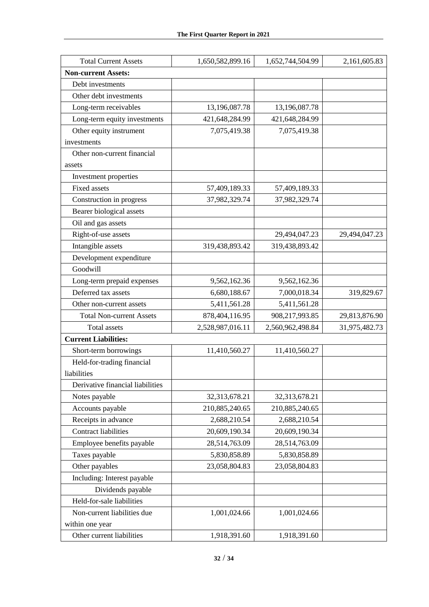| <b>Total Current Assets</b>      | 1,650,582,899.16 | 1,652,744,504.99 | 2,161,605.83  |
|----------------------------------|------------------|------------------|---------------|
| <b>Non-current Assets:</b>       |                  |                  |               |
| Debt investments                 |                  |                  |               |
| Other debt investments           |                  |                  |               |
| Long-term receivables            | 13,196,087.78    | 13,196,087.78    |               |
| Long-term equity investments     | 421,648,284.99   | 421,648,284.99   |               |
| Other equity instrument          | 7,075,419.38     | 7,075,419.38     |               |
| investments                      |                  |                  |               |
| Other non-current financial      |                  |                  |               |
| assets                           |                  |                  |               |
| Investment properties            |                  |                  |               |
| <b>Fixed assets</b>              | 57,409,189.33    | 57,409,189.33    |               |
| Construction in progress         | 37,982,329.74    | 37,982,329.74    |               |
| Bearer biological assets         |                  |                  |               |
| Oil and gas assets               |                  |                  |               |
| Right-of-use assets              |                  | 29,494,047.23    | 29,494,047.23 |
| Intangible assets                | 319,438,893.42   | 319,438,893.42   |               |
| Development expenditure          |                  |                  |               |
| Goodwill                         |                  |                  |               |
| Long-term prepaid expenses       | 9,562,162.36     | 9,562,162.36     |               |
| Deferred tax assets              | 6,680,188.67     | 7,000,018.34     | 319,829.67    |
| Other non-current assets         | 5,411,561.28     | 5,411,561.28     |               |
| <b>Total Non-current Assets</b>  | 878,404,116.95   | 908,217,993.85   | 29,813,876.90 |
| <b>Total assets</b>              | 2,528,987,016.11 | 2,560,962,498.84 | 31,975,482.73 |
| <b>Current Liabilities:</b>      |                  |                  |               |
| Short-term borrowings            | 11,410,560.27    | 11,410,560.27    |               |
| Held-for-trading financial       |                  |                  |               |
| liabilities                      |                  |                  |               |
| Derivative financial liabilities |                  |                  |               |
| Notes payable                    | 32,313,678.21    | 32,313,678.21    |               |
| Accounts payable                 | 210,885,240.65   | 210,885,240.65   |               |
| Receipts in advance              | 2,688,210.54     | 2,688,210.54     |               |
| <b>Contract liabilities</b>      | 20,609,190.34    | 20,609,190.34    |               |
| Employee benefits payable        | 28,514,763.09    | 28,514,763.09    |               |
| Taxes payable                    | 5,830,858.89     | 5,830,858.89     |               |
| Other payables                   | 23,058,804.83    | 23,058,804.83    |               |
| Including: Interest payable      |                  |                  |               |
| Dividends payable                |                  |                  |               |
| Held-for-sale liabilities        |                  |                  |               |
| Non-current liabilities due      | 1,001,024.66     | 1,001,024.66     |               |
| within one year                  |                  |                  |               |
| Other current liabilities        | 1,918,391.60     | 1,918,391.60     |               |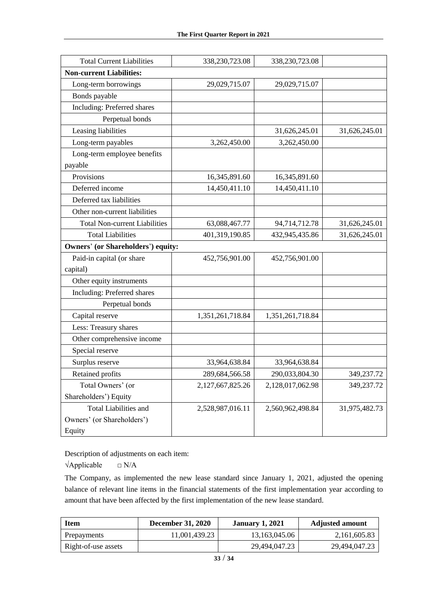| <b>Total Current Liabilities</b>     | 338,230,723.08   | 338,230,723.08   |               |
|--------------------------------------|------------------|------------------|---------------|
| <b>Non-current Liabilities:</b>      |                  |                  |               |
| Long-term borrowings                 | 29,029,715.07    | 29,029,715.07    |               |
| Bonds payable                        |                  |                  |               |
| Including: Preferred shares          |                  |                  |               |
| Perpetual bonds                      |                  |                  |               |
| Leasing liabilities                  |                  | 31,626,245.01    | 31,626,245.01 |
| Long-term payables                   | 3,262,450.00     | 3,262,450.00     |               |
| Long-term employee benefits          |                  |                  |               |
| payable                              |                  |                  |               |
| Provisions                           | 16,345,891.60    | 16,345,891.60    |               |
| Deferred income                      | 14,450,411.10    | 14,450,411.10    |               |
| Deferred tax liabilities             |                  |                  |               |
| Other non-current liabilities        |                  |                  |               |
| <b>Total Non-current Liabilities</b> | 63,088,467.77    | 94,714,712.78    | 31,626,245.01 |
| <b>Total Liabilities</b>             | 401,319,190.85   | 432,945,435.86   | 31,626,245.01 |
| Owners' (or Shareholders') equity:   |                  |                  |               |
| Paid-in capital (or share            | 452,756,901.00   | 452,756,901.00   |               |
| capital)                             |                  |                  |               |
| Other equity instruments             |                  |                  |               |
| Including: Preferred shares          |                  |                  |               |
| Perpetual bonds                      |                  |                  |               |
| Capital reserve                      | 1,351,261,718.84 | 1,351,261,718.84 |               |
| Less: Treasury shares                |                  |                  |               |
| Other comprehensive income           |                  |                  |               |
| Special reserve                      |                  |                  |               |
| Surplus reserve                      | 33,964,638.84    | 33,964,638.84    |               |
| Retained profits                     | 289,684,566.58   | 290,033,804.30   | 349,237.72    |
| Total Owners' (or                    | 2,127,667,825.26 | 2,128,017,062.98 | 349,237.72    |
| Shareholders') Equity                |                  |                  |               |
| <b>Total Liabilities and</b>         | 2,528,987,016.11 | 2,560,962,498.84 | 31,975,482.73 |
| Owners' (or Shareholders')           |                  |                  |               |
| Equity                               |                  |                  |               |

Description of adjustments on each item:

 $\forall$ Applicable  $\Box$  N/A

The Company, as implemented the new lease standard since January 1, 2021, adjusted the opening balance of relevant line items in the financial statements of the first implementation year according to amount that have been affected by the first implementation of the new lease standard.

| <b>Item</b>         | <b>December 31, 2020</b> | <b>January 1, 2021</b> | <b>Adjusted amount</b> |
|---------------------|--------------------------|------------------------|------------------------|
| Prepayments         | 11.001.439.23            | 13,163,045.06          | 2,161,605.83           |
| Right-of-use assets |                          | 29.494,047.23          | 29.494.047.23          |